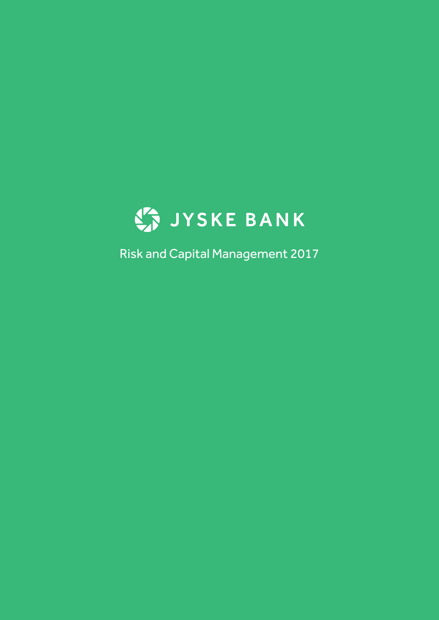

Risk and Capital Management 2017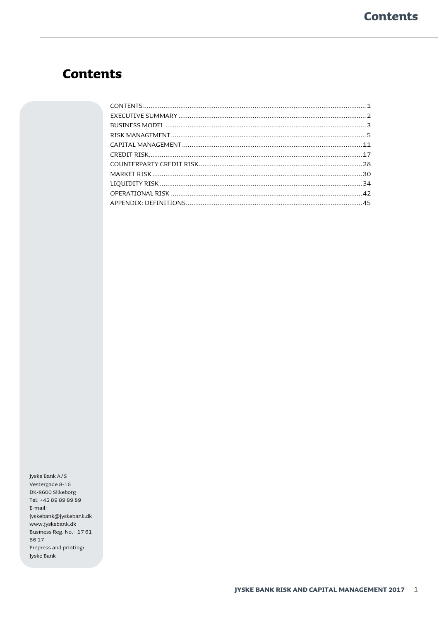### <span id="page-2-0"></span>**Contents**

Jyske Bank A/S Vestergade 8-16 DK-8600 Silkeborg Tel: +45 89 89 89 89 E-mail: jyskebank@jyskebank.dk www.jyskebank.dk Business Reg. No.: 1761 66 17 Prepress and printing: Jyske Bank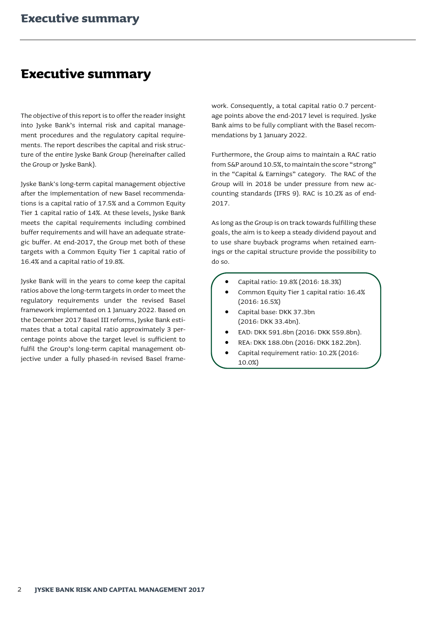### <span id="page-3-0"></span>**Executive summary**

The objective of this report is to offer the reader insight into Jyske Bank's internal risk and capital management procedures and the regulatory capital requirements. The report describes the capital and risk structure of the entire Jyske Bank Group (hereinafter called the Group or Jyske Bank).

Jyske Bank's long-term capital management objective after the implementation of new Basel recommendations is a capital ratio of 17.5% and a Common Equity Tier 1 capital ratio of 14%. At these levels, Jyske Bank meets the capital requirements including combined buffer requirements and will have an adequate strategic buffer. At end-2017, the Group met both of these targets with a Common Equity Tier 1 capital ratio of 16.4% and a capital ratio of 19.8%.

Jyske Bank will in the years to come keep the capital ratios above the long-term targets in order to meet the regulatory requirements under the revised Basel framework implemented on 1 January 2022. Based on the December 2017 Basel III reforms, Jyske Bank estimates that a total capital ratio approximately 3 percentage points above the target level is sufficient to fulfil the Group's long-term capital management objective under a fully phased-in revised Basel framework. Consequently, a total capital ratio 0.7 percentage points above the end-2017 level is required. Jyske Bank aims to be fully compliant with the Basel recommendations by 1 January 2022.

Furthermore, the Group aims to maintain a RAC ratio from S&P around 10.5%, to maintain the score "strong" in the "Capital & Earnings" category. The RAC of the Group will in 2018 be under pressure from new accounting standards (IFRS 9). RAC is 10.2% as of end-2017.

As long as the Group is on track towards fulfilling these goals, the aim is to keep a steady dividend payout and to use share buyback programs when retained earnings or the capital structure provide the possibility to do so.

- Capital ratio: 19.8% (2016: 18.3%)
- Common Equity Tier 1 capital ratio: 16.4% (2016: 16.5%)
- Capital base: DKK 37.3bn (2016: DKK 33.4bn).
- EAD: DKK 591.8bn (2016: DKK 559.8bn).
- REA: DKK 188.0bn (2016: DKK 182.2bn).
- Capital requirement ratio: 10.2% (2016: 10.0%)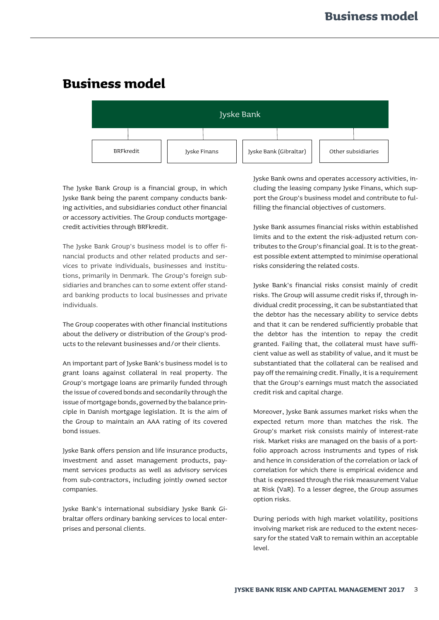### <span id="page-4-0"></span>**Business model**



The Jyske Bank Group is a financial group, in which Jyske Bank being the parent company conducts banking activities, and subsidiaries conduct other financial or accessory activities. The Group conducts mortgagecredit activities through BRFkredit.

The Jyske Bank Group's business model is to offer financial products and other related products and services to private individuals, businesses and institutions, primarily in Denmark. The Group's foreign subsidiaries and branches can to some extent offer standard banking products to local businesses and private individuals.

The Group cooperates with other financial institutions about the delivery or distribution of the Group's products to the relevant businesses and/or their clients.

An important part of Jyske Bank's business model is to grant loans against collateral in real property. The Group's mortgage loans are primarily funded through the issue of covered bonds and secondarily through the issue of mortgage bonds, governed by the balance principle in Danish mortgage legislation. It is the aim of the Group to maintain an AAA rating of its covered bond issues.

Jyske Bank offers pension and life insurance products, investment and asset management products, payment services products as well as advisory services from sub-contractors, including jointly owned sector companies.

Jyske Bank's international subsidiary Jyske Bank Gibraltar offers ordinary banking services to local enterprises and personal clients.

Jyske Bank owns and operates accessory activities, including the leasing company Jyske Finans, which support the Group's business model and contribute to fulfilling the financial objectives of customers.

Jyske Bank assumes financial risks within established limits and to the extent the risk-adjusted return contributes to the Group's financial goal. It is to the greatest possible extent attempted to minimise operational risks considering the related costs.

Jyske Bank's financial risks consist mainly of credit risks. The Group will assume credit risks if, through individual credit processing, it can be substantiated that the debtor has the necessary ability to service debts and that it can be rendered sufficiently probable that the debtor has the intention to repay the credit granted. Failing that, the collateral must have sufficient value as well as stability of value, and it must be substantiated that the collateral can be realised and pay off the remaining credit. Finally, it is a requirement that the Group's earnings must match the associated credit risk and capital charge.

Moreover, Jyske Bank assumes market risks when the expected return more than matches the risk. The Group's market risk consists mainly of interest-rate risk. Market risks are managed on the basis of a portfolio approach across instruments and types of risk and hence in consideration of the correlation or lack of correlation for which there is empirical evidence and that is expressed through the risk measurement Value at Risk (VaR). To a lesser degree, the Group assumes option risks.

During periods with high market volatility, positions involving market risk are reduced to the extent necessary for the stated VaR to remain within an acceptable level.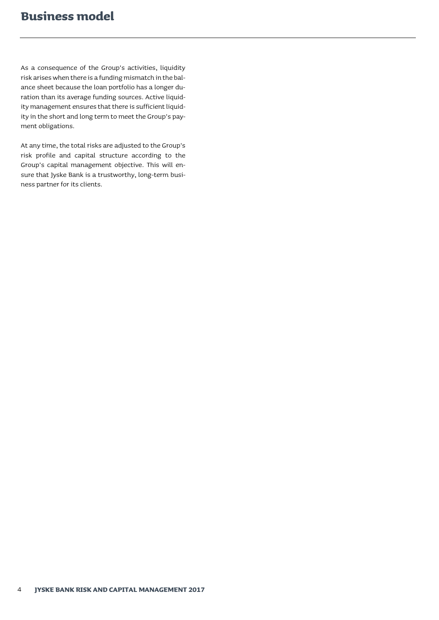As a consequence of the Group's activities, liquidity risk arises when there is a funding mismatch in the balance sheet because the loan portfolio has a longer duration than its average funding sources. Active liquidity management ensures that there is sufficient liquidity in the short and long term to meet the Group's payment obligations.

At any time, the total risks are adjusted to the Group's risk profile and capital structure according to the Group's capital management objective. This will ensure that Jyske Bank is a trustworthy, long-term business partner for its clients.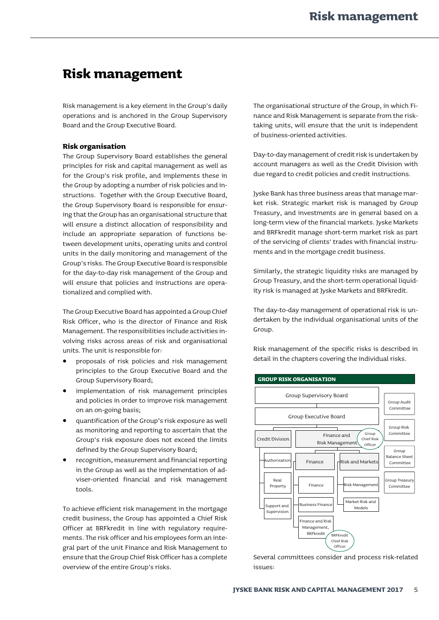## <span id="page-6-0"></span>**Risk management**

Risk management is a key element in the Group's daily operations and is anchored in the Group Supervisory Board and the Group Executive Board.

#### **Risk organisation**

The Group Supervisory Board establishes the general principles for risk and capital management as well as for the Group's risk profile, and implements these in the Group by adopting a number of risk policies and instructions. Together with the Group Executive Board, the Group Supervisory Board is responsible for ensuring that the Group has an organisational structure that will ensure a distinct allocation of responsibility and include an appropriate separation of functions between development units, operating units and control units in the daily monitoring and management of the Group's risks. The Group Executive Board is responsible for the day-to-day risk management of the Group and will ensure that policies and instructions are operationalized and complied with.

The Group Executive Board has appointed a Group Chief Risk Officer, who is the director of Finance and Risk Management. The responsibilities include activities involving risks across areas of risk and organisational units. The unit is responsible for:

- proposals of risk policies and risk management principles to the Group Executive Board and the Group Supervisory Board;
- implementation of risk management principles and policies in order to improve risk management on an on-going basis;
- quantification of the Group's risk exposure as well as monitoring and reporting to ascertain that the Group's risk exposure does not exceed the limits defined by the Group Supervisory Board;
- recognition, measurement and financial reporting in the Group as well as the implementation of adviser-oriented financial and risk management tools.

To achieve efficient risk management in the mortgage credit business, the Group has appointed a Chief Risk Officer at BRFkredit in line with regulatory requirements. The risk officer and his employees form an integral part of the unit Finance and Risk Management to ensure that the Group Chief Risk Officer has a complete overview of the entire Group's risks.

The organisational structure of the Group, in which Finance and Risk Management is separate from the risktaking units, will ensure that the unit is independent of business-oriented activities.

Day-to-day management of credit risk is undertaken by account managers as well as the Credit Division with due regard to credit policies and credit instructions.

Jyske Bank has three business areas that manage market risk. Strategic market risk is managed by Group Treasury, and investments are in general based on a long-term view of the financial markets. Jyske Markets and BRFkredit manage short-term market risk as part of the servicing of clients' trades with financial instruments and in the mortgage credit business.

Similarly, the strategic liquidity risks are managed by Group Treasury, and the short-term operational liquidity risk is managed at Jyske Markets and BRFkredit.

The day-to-day management of operational risk is undertaken by the individual organisational units of the Group.

Risk management of the specific risks is described in detail in the chapters covering the individual risks.



Several committees consider and process risk-related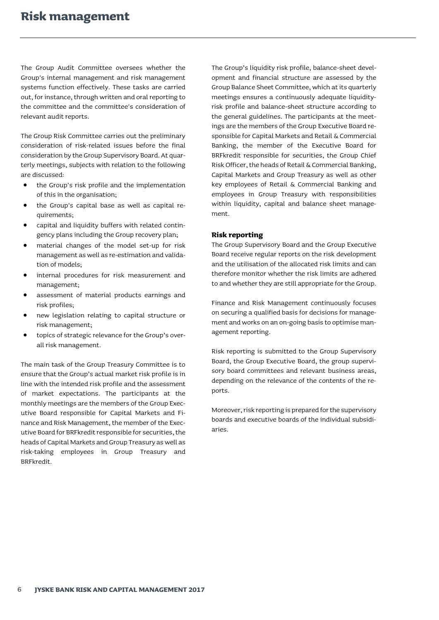The Group Audit Committee oversees whether the Group's internal management and risk management systems function effectively. These tasks are carried out, for instance, through written and oral reporting to the committee and the committee's consideration of relevant audit reports.

The Group Risk Committee carries out the preliminary consideration of risk-related issues before the final consideration by the Group Supervisory Board. At quarterly meetings, subjects with relation to the following are discussed:

- the Group's risk profile and the implementation of this in the organisation;
- the Group's capital base as well as capital requirements;
- capital and liquidity buffers with related contingency plans including the Group recovery plan;
- material changes of the model set-up for risk management as well as re-estimation and validation of models;
- internal procedures for risk measurement and management;
- assessment of material products earnings and risk profiles;
- new legislation relating to capital structure or risk management;
- topics of strategic relevance for the Group's overall risk management.

The main task of the Group Treasury Committee is to ensure that the Group's actual market risk profile is in line with the intended risk profile and the assessment of market expectations. The participants at the monthly meetings are the members of the Group Executive Board responsible for Capital Markets and Finance and Risk Management, the member of the Executive Board for BRFkredit responsible for securities, the heads of Capital Markets and Group Treasury as well as risk-taking employees in Group Treasury and BRFkredit.

The Group's liquidity risk profile, balance-sheet development and financial structure are assessed by the Group Balance Sheet Committee, which at its quarterly meetings ensures a continuously adequate liquidityrisk profile and balance-sheet structure according to the general guidelines. The participants at the meetings are the members of the Group Executive Board responsible for Capital Markets and Retail & Commercial Banking, the member of the Executive Board for BRFkredit responsible for securities, the Group Chief Risk Officer, the heads of Retail & Commercial Banking, Capital Markets and Group Treasury as well as other key employees of Retail & Commercial Banking and employees in Group Treasury with responsibilities within liquidity, capital and balance sheet management.

#### **Risk reporting**

The Group Supervisory Board and the Group Executive Board receive regular reports on the risk development and the utilisation of the allocated risk limits and can therefore monitor whether the risk limits are adhered to and whether they are still appropriate for the Group.

Finance and Risk Management continuously focuses on securing a qualified basis for decisions for management and works on an on-going basis to optimise management reporting.

Risk reporting is submitted to the Group Supervisory Board, the Group Executive Board, the group supervisory board committees and relevant business areas, depending on the relevance of the contents of the reports.

Moreover, risk reporting is prepared for the supervisory boards and executive boards of the individual subsidiaries.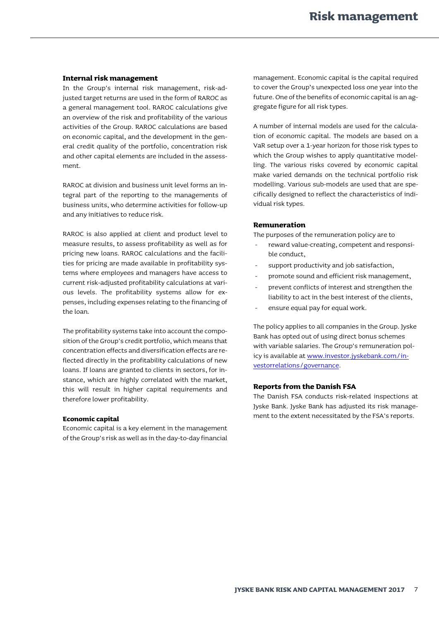#### **Internal risk management**

In the Group's internal risk management, risk-adjusted target returns are used in the form of RAROC as a general management tool. RAROC calculations give an overview of the risk and profitability of the various activities of the Group. RAROC calculations are based on economic capital, and the development in the general credit quality of the portfolio, concentration risk and other capital elements are included in the assessment.

RAROC at division and business unit level forms an integral part of the reporting to the managements of business units, who determine activities for follow-up and any initiatives to reduce risk.

RAROC is also applied at client and product level to measure results, to assess profitability as well as for pricing new loans. RAROC calculations and the facilities for pricing are made available in profitability systems where employees and managers have access to current risk-adjusted profitability calculations at various levels. The profitability systems allow for expenses, including expenses relating to the financing of the loan.

The profitability systems take into account the composition of the Group's credit portfolio, which means that concentration effects and diversification effects are reflected directly in the profitability calculations of new loans. If loans are granted to clients in sectors, for instance, which are highly correlated with the market, this will result in higher capital requirements and therefore lower profitability.

#### **Economic capital**

Economic capital is a key element in the management of the Group's risk as well as in the day-to-day financial management. Economic capital is the capital required to cover the Group's unexpected loss one year into the future. One of the benefits of economic capital is an aggregate figure for all risk types.

A number of internal models are used for the calculation of economic capital. The models are based on a VaR setup over a 1-year horizon for those risk types to which the Group wishes to apply quantitative modelling. The various risks covered by economic capital make varied demands on the technical portfolio risk modelling. Various sub-models are used that are specifically designed to reflect the characteristics of individual risk types.

#### **Remuneration**

The purposes of the remuneration policy are to

- reward value-creating, competent and responsible conduct,
- support productivity and job satisfaction,
- promote sound and efficient risk management,
- prevent conflicts of interest and strengthen the liability to act in the best interest of the clients,
- ensure equal pay for equal work.

The policy applies to all companies in the Group. Jyske Bank has opted out of using direct bonus schemes with variable salaries. The Group's remuneration policy is available a[t www.investor.jyskebank.com/in](http://www.investor.jyskebank.com/investorrelations/governance)[vestorrelations/governance.](http://www.investor.jyskebank.com/investorrelations/governance)

#### **Reports from the Danish FSA**

The Danish FSA conducts risk-related inspections at Jyske Bank. Jyske Bank has adjusted its risk management to the extent necessitated by the FSA's reports.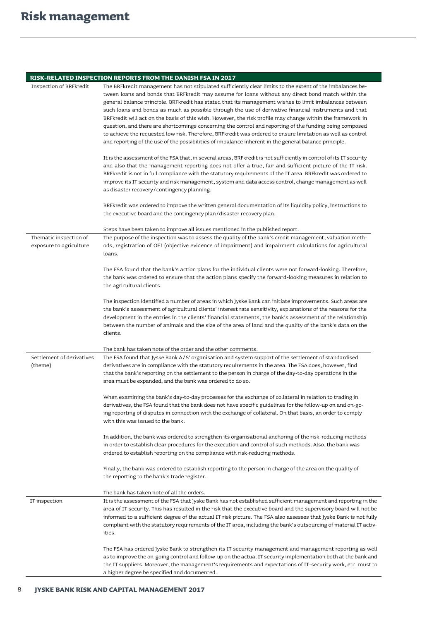|                                                   | RISK-RELATED INSPECTION REPORTS FROM THE DANISH FSA IN 2017                                                                                                                                                                                                                                                                                                                                                                                                                                                                                                                                                                                                                                                                                                                                                                                                                                                                                                                                                                                                                                                                                                                                                                                                                                                                                                                                     |
|---------------------------------------------------|-------------------------------------------------------------------------------------------------------------------------------------------------------------------------------------------------------------------------------------------------------------------------------------------------------------------------------------------------------------------------------------------------------------------------------------------------------------------------------------------------------------------------------------------------------------------------------------------------------------------------------------------------------------------------------------------------------------------------------------------------------------------------------------------------------------------------------------------------------------------------------------------------------------------------------------------------------------------------------------------------------------------------------------------------------------------------------------------------------------------------------------------------------------------------------------------------------------------------------------------------------------------------------------------------------------------------------------------------------------------------------------------------|
| Inspection of BRFkredit                           | The BRFkredit management has not stipulated sufficiently clear limits to the extent of the imbalances be-<br>tween loans and bonds that BRFkredit may assume for loans without any direct bond match within the<br>general balance principle. BRFkredit has stated that its management wishes to limit imbalances between<br>such loans and bonds as much as possible through the use of derivative financial instruments and that<br>BRFkredit will act on the basis of this wish. However, the risk profile may change within the framework in<br>question, and there are shortcomings concerning the control and reporting of the funding being composed<br>to achieve the requested low risk. Therefore, BRFkredit was ordered to ensure limitation as well as control<br>and reporting of the use of the possibilities of imbalance inherent in the general balance principle.<br>It is the assessment of the FSA that, in several areas, BRFkredit is not sufficiently in control of its IT security<br>and also that the management reporting does not offer a true, fair and sufficient picture of the IT risk.<br>BRFkredit is not in full compliance with the statutory requirements of the IT area. BRFkredit was ordered to<br>improve its IT security and risk management, system and data access control, change management as well<br>as disaster recovery/contingency planning. |
|                                                   | BRFkredit was ordered to improve the written general documentation of its liquidity policy, instructions to<br>the executive board and the contingency plan/disaster recovery plan.                                                                                                                                                                                                                                                                                                                                                                                                                                                                                                                                                                                                                                                                                                                                                                                                                                                                                                                                                                                                                                                                                                                                                                                                             |
|                                                   | Steps have been taken to improve all issues mentioned in the published report.                                                                                                                                                                                                                                                                                                                                                                                                                                                                                                                                                                                                                                                                                                                                                                                                                                                                                                                                                                                                                                                                                                                                                                                                                                                                                                                  |
| Thematic inspection of<br>exposure to agriculture | The purpose of the inspection was to assess the quality of the bank's credit management, valuation meth-<br>ods, registration of OEI (objective evidence of impairment) and impairment calculations for agricultural<br>loans.                                                                                                                                                                                                                                                                                                                                                                                                                                                                                                                                                                                                                                                                                                                                                                                                                                                                                                                                                                                                                                                                                                                                                                  |
|                                                   | The FSA found that the bank's action plans for the individual clients were not forward-looking. Therefore,<br>the bank was ordered to ensure that the action plans specify the forward-looking measures in relation to<br>the agricultural clients.                                                                                                                                                                                                                                                                                                                                                                                                                                                                                                                                                                                                                                                                                                                                                                                                                                                                                                                                                                                                                                                                                                                                             |
|                                                   | The inspection identified a number of areas in which Jyske Bank can initiate improvements. Such areas are<br>the bank's assessment of agricultural clients' interest rate sensitivity, explanations of the reasons for the<br>development in the entries in the clients' financial statements, the bank's assessment of the relationship<br>between the number of animals and the size of the area of land and the quality of the bank's data on the<br>clients.                                                                                                                                                                                                                                                                                                                                                                                                                                                                                                                                                                                                                                                                                                                                                                                                                                                                                                                                |
|                                                   | The bank has taken note of the order and the other comments.                                                                                                                                                                                                                                                                                                                                                                                                                                                                                                                                                                                                                                                                                                                                                                                                                                                                                                                                                                                                                                                                                                                                                                                                                                                                                                                                    |
| Settlement of derivatives<br>(theme)              | The FSA found that Jyske Bank A/S' organisation and system support of the settlement of standardised<br>derivatives are in compliance with the statutory requirements in the area. The FSA does, however, find<br>that the bank's reporting on the settlement to the person in charge of the day-to-day operations in the<br>area must be expanded, and the bank was ordered to do so.                                                                                                                                                                                                                                                                                                                                                                                                                                                                                                                                                                                                                                                                                                                                                                                                                                                                                                                                                                                                          |
|                                                   | When examining the bank's day-to-day processes for the exchange of collateral in relation to trading in<br>derivatives, the FSA found that the bank does not have specific guidelines for the follow-up on and on-go-<br>ing reporting of disputes in connection with the exchange of collateral. On that basis, an order to comply<br>with this was issued to the bank.                                                                                                                                                                                                                                                                                                                                                                                                                                                                                                                                                                                                                                                                                                                                                                                                                                                                                                                                                                                                                        |
|                                                   | In addition, the bank was ordered to strengthen its organisational anchoring of the risk-reducing methods<br>in order to establish clear procedures for the execution and control of such methods. Also, the bank was<br>ordered to establish reporting on the compliance with risk-reducing methods.                                                                                                                                                                                                                                                                                                                                                                                                                                                                                                                                                                                                                                                                                                                                                                                                                                                                                                                                                                                                                                                                                           |
|                                                   | Finally, the bank was ordered to establish reporting to the person in charge of the area on the quality of<br>the reporting to the bank's trade register.                                                                                                                                                                                                                                                                                                                                                                                                                                                                                                                                                                                                                                                                                                                                                                                                                                                                                                                                                                                                                                                                                                                                                                                                                                       |
|                                                   | The bank has taken note of all the orders.                                                                                                                                                                                                                                                                                                                                                                                                                                                                                                                                                                                                                                                                                                                                                                                                                                                                                                                                                                                                                                                                                                                                                                                                                                                                                                                                                      |
| IT inspection                                     | It is the assessment of the FSA that Jyske Bank has not established sufficient management and reporting in the<br>area of IT security. This has resulted in the risk that the executive board and the supervisory board will not be<br>informed to a sufficient degree of the actual IT risk picture. The FSA also assesses that Jyske Bank is not fully<br>compliant with the statutory requirements of the IT area, including the bank's outsourcing of material IT activ-<br>ities.                                                                                                                                                                                                                                                                                                                                                                                                                                                                                                                                                                                                                                                                                                                                                                                                                                                                                                          |
|                                                   | The FSA has ordered Jyske Bank to strengthen its IT security management and management reporting as well<br>as to improve the on-going control and follow-up on the actual IT security implementation both at the bank and<br>the IT suppliers. Moreover, the management's requirements and expectations of IT-security work, etc. must to<br>a higher degree be specified and documented.                                                                                                                                                                                                                                                                                                                                                                                                                                                                                                                                                                                                                                                                                                                                                                                                                                                                                                                                                                                                      |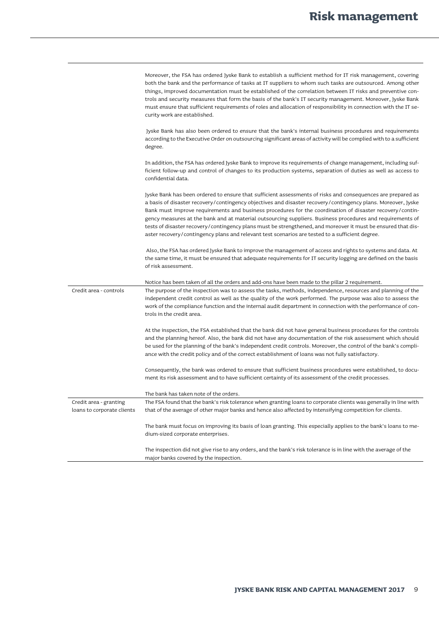|                            | Moreover, the FSA has ordered Jyske Bank to establish a sufficient method for IT risk management, covering<br>both the bank and the performance of tasks at IT suppliers to whom such tasks are outsourced. Among other<br>things, improved documentation must be established of the correlation between IT risks and preventive con-<br>trols and security measures that form the basis of the bank's IT security management. Moreover, Jyske Bank<br>must ensure that sufficient requirements of roles and allocation of responsibility in connection with the IT se-<br>curity work are established.                                                                 |
|----------------------------|-------------------------------------------------------------------------------------------------------------------------------------------------------------------------------------------------------------------------------------------------------------------------------------------------------------------------------------------------------------------------------------------------------------------------------------------------------------------------------------------------------------------------------------------------------------------------------------------------------------------------------------------------------------------------|
|                            | Jyske Bank has also been ordered to ensure that the bank's internal business procedures and requirements<br>according to the Executive Order on outsourcing significant areas of activity will be complied with to a sufficient<br>degree.                                                                                                                                                                                                                                                                                                                                                                                                                              |
|                            | In addition, the FSA has ordered Jyske Bank to improve its requirements of change management, including suf-<br>ficient follow-up and control of changes to its production systems, separation of duties as well as access to<br>confidential data.                                                                                                                                                                                                                                                                                                                                                                                                                     |
|                            | Jyske Bank has been ordered to ensure that sufficient assessments of risks and consequences are prepared as<br>a basis of disaster recovery/contingency objectives and disaster recovery/contingency plans. Moreover, Jyske<br>Bank must improve requirements and business procedures for the coordination of disaster recovery/contin-<br>gency measures at the bank and at material outsourcing suppliers. Business procedures and requirements of<br>tests of disaster recovery/contingency plans must be strengthened, and moreover it must be ensured that dis-<br>aster recovery/contingency plans and relevant test scenarios are tested to a sufficient degree. |
|                            | Also, the FSA has ordered Jyske Bank to improve the management of access and rights to systems and data. At<br>the same time, it must be ensured that adequate requirements for IT security logging are defined on the basis<br>of risk assessment.                                                                                                                                                                                                                                                                                                                                                                                                                     |
|                            | Notice has been taken of all the orders and add-ons have been made to the pillar 2 requirement.                                                                                                                                                                                                                                                                                                                                                                                                                                                                                                                                                                         |
| Credit area - controls     | The purpose of the inspection was to assess the tasks, methods, independence, resources and planning of the<br>independent credit control as well as the quality of the work performed. The purpose was also to assess the<br>work of the compliance function and the internal audit department in connection with the performance of con-<br>trols in the credit area.                                                                                                                                                                                                                                                                                                 |
|                            | At the inspection, the FSA established that the bank did not have general business procedures for the controls<br>and the planning hereof. Also, the bank did not have any documentation of the risk assessment which should<br>be used for the planning of the bank's independent credit controls. Moreover, the control of the bank's compli-<br>ance with the credit policy and of the correct establishment of loans was not fully satisfactory.                                                                                                                                                                                                                    |
|                            | Consequently, the bank was ordered to ensure that sufficient business procedures were established, to docu-<br>ment its risk assessment and to have sufficient certainty of its assessment of the credit processes.                                                                                                                                                                                                                                                                                                                                                                                                                                                     |
|                            | The bank has taken note of the orders.                                                                                                                                                                                                                                                                                                                                                                                                                                                                                                                                                                                                                                  |
| Credit area - granting     | The FSA found that the bank's risk tolerance when granting loans to corporate clients was generally in line with                                                                                                                                                                                                                                                                                                                                                                                                                                                                                                                                                        |
| loans to corporate clients | that of the average of other major banks and hence also affected by intensifying competition for clients.                                                                                                                                                                                                                                                                                                                                                                                                                                                                                                                                                               |
|                            | The bank must focus on improving its basis of loan granting. This especially applies to the bank's loans to me-<br>dium-sized corporate enterprises.                                                                                                                                                                                                                                                                                                                                                                                                                                                                                                                    |
|                            | The inspection did not give rise to any orders, and the bank's risk tolerance is in line with the average of the<br>major banks covered by the inspection.                                                                                                                                                                                                                                                                                                                                                                                                                                                                                                              |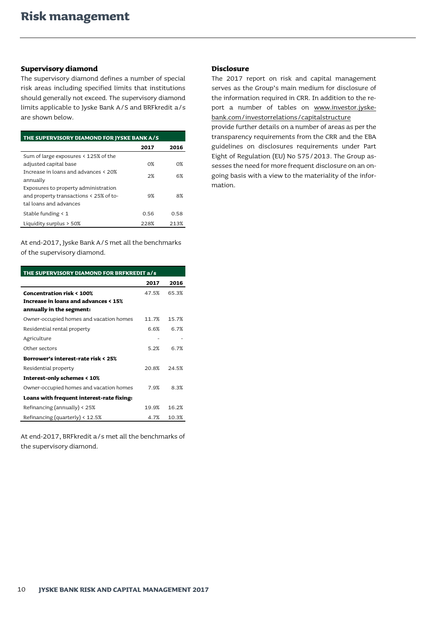#### **Supervisory diamond**

The supervisory diamond defines a number of special risk areas including specified limits that institutions should generally not exceed. The supervisory diamond limits applicable to Jyske Bank A/S and BRFkredit a/s are shown below.

| THE SUPERVISORY DIAMOND FOR IYSKE BANK A/S |       |       |  |  |  |
|--------------------------------------------|-------|-------|--|--|--|
|                                            | 2017  | 2016  |  |  |  |
| Sum of large exposures < 125% of the       |       |       |  |  |  |
| adjusted capital base                      | $O\%$ | $O\%$ |  |  |  |
| Increase in loans and advances $\leq 20\%$ | 2%    | 6%    |  |  |  |
| annually                                   |       |       |  |  |  |
| Exposures to property administration       |       |       |  |  |  |
| and property transactions < 25% of to-     | 9%    | 8%    |  |  |  |
| tal loans and advances                     |       |       |  |  |  |
| Stable funding $\leq 1$                    | 0.56  | 0.58  |  |  |  |
| Liquidity surplus $>$ 50%                  | 228%  | 213%  |  |  |  |

At end-2017, Jyske Bank A/S met all the benchmarks of the supervisory diamond.

| THE SUPERVISORY DIAMOND FOR BRFKREDIT a/s                        |       |       |  |  |  |
|------------------------------------------------------------------|-------|-------|--|--|--|
|                                                                  | 2017  | 2016  |  |  |  |
| <b>Concentration risk &lt; 100%</b>                              | 47.5% | 65.3% |  |  |  |
| Increase in loans and advances < 15%<br>annually in the segment: |       |       |  |  |  |
| Owner-occupied homes and vacation homes                          | 11.7% | 15.7% |  |  |  |
| Residential rental property                                      | 6.6%  | 6.7%  |  |  |  |
| Agriculture                                                      |       |       |  |  |  |
| Other sectors                                                    | 5.2%  | 6.7%  |  |  |  |
| Borrower's interest-rate risk < 25%                              |       |       |  |  |  |
| Residential property                                             | 20.8% | 24.5% |  |  |  |
| Interest-only schemes < 10%                                      |       |       |  |  |  |
| Owner-occupied homes and vacation homes                          | 7.9%  | 8.3%  |  |  |  |
| Loans with frequent interest-rate fixing:                        |       |       |  |  |  |
| Refinancing (annually) $\leq$ 25%                                | 19.9% | 16.2% |  |  |  |
| Refinancing (quarterly) < 12.5%                                  | 4.7%  | 10.3% |  |  |  |

At end-2017, BRFkredit a/s met all the benchmarks of the supervisory diamond.

#### **Disclosure**

The 2017 report on risk and capital management serves as the Group's main medium for disclosure of the information required in CRR. In addition to the report a number of tables on [www.investor.jyske](http://www.investor.jyskebank.com/investorrelations/capitalstructure)[bank.com/investorrelations/capitalstructure](http://www.investor.jyskebank.com/investorrelations/capitalstructure)

provide further details on a number of areas as per the transparency requirements from the CRR and the EBA guidelines on disclosures requirements under Part Eight of Regulation (EU) No 575/2013. The Group assesses the need for more frequent disclosure on an ongoing basis with a view to the materiality of the information.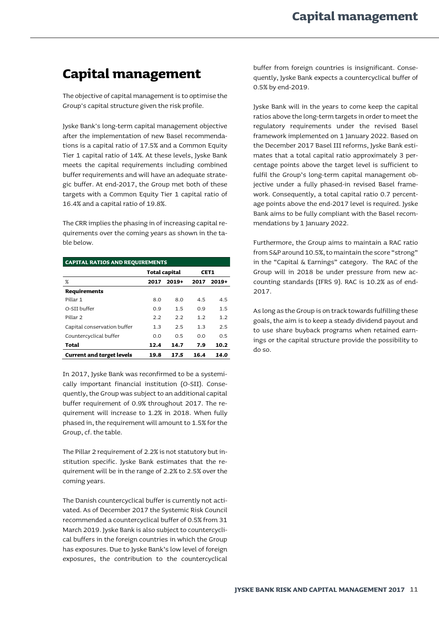## <span id="page-12-0"></span>**Capital management**

The objective of capital management is to optimise the Group's capital structure given the risk profile.

Jyske Bank's long-term capital management objective after the implementation of new Basel recommendations is a capital ratio of 17.5% and a Common Equity Tier 1 capital ratio of 14%. At these levels, Jyske Bank meets the capital requirements including combined buffer requirements and will have an adequate strategic buffer. At end-2017, the Group met both of these targets with a Common Equity Tier 1 capital ratio of 16.4% and a capital ratio of 19.8%.

The CRR implies the phasing in of increasing capital requirements over the coming years as shown in the table below.

| <b>CAPITAL RATIOS AND REQUIREMENTS</b>                           |                              |         |                |         |  |
|------------------------------------------------------------------|------------------------------|---------|----------------|---------|--|
|                                                                  | <b>Total capital</b><br>CET1 |         |                |         |  |
| %                                                                | 2017                         | $2019+$ | 2017           | $2019+$ |  |
| <b>Requirements</b>                                              |                              |         |                |         |  |
| Pillar 1                                                         | 8.0                          | 8.0     | 4.5            | 4.5     |  |
| O-SII buffer                                                     | 0.9                          | 1.5     | 0.9            | 1.5     |  |
| Pillar <sub>2</sub>                                              | 2.2                          | 2.2     | 1.2            | 1.2     |  |
| Capital conservation buffer                                      | 1.3                          | 25      | 1 <sub>3</sub> | 25      |  |
| Countercyclical buffer                                           | 0.0                          | 0.5     | 0.0            | 0.5     |  |
| Total                                                            | 12.4                         | 14.7    | 7.9            | 10.2    |  |
| <b>Current and target levels</b><br>17.5<br>16.4<br>14.0<br>19.8 |                              |         |                |         |  |

In 2017, Jyske Bank was reconfirmed to be a systemically important financial institution (O-SII). Consequently, the Group was subject to an additional capital buffer requirement of 0.9% throughout 2017. The requirement will increase to 1.2% in 2018. When fully phased in, the requirement will amount to 1.5% for the Group, cf. the table.

The Pillar 2 requirement of 2.2% is not statutory but institution specific. Jyske Bank estimates that the requirement will be in the range of 2.2% to 2.5% over the coming years.

The Danish countercyclical buffer is currently not activated. As of December 2017 the Systemic Risk Council recommended a countercyclical buffer of 0.5% from 31 March 2019. Jyske Bank is also subject to countercyclical buffers in the foreign countries in which the Group has exposures. Due to Jyske Bank's low level of foreign exposures, the contribution to the countercyclical

buffer from foreign countries is insignificant. Consequently, Jyske Bank expects a countercyclical buffer of 0.5% by end-2019.

Jyske Bank will in the years to come keep the capital ratios above the long-term targets in order to meet the regulatory requirements under the revised Basel framework implemented on 1 January 2022. Based on the December 2017 Basel III reforms, Jyske Bank estimates that a total capital ratio approximately 3 percentage points above the target level is sufficient to fulfil the Group's long-term capital management objective under a fully phased-in revised Basel framework. Consequently, a total capital ratio 0.7 percentage points above the end-2017 level is required. Jyske Bank aims to be fully compliant with the Basel recommendations by 1 January 2022.

Furthermore, the Group aims to maintain a RAC ratio from S&P around 10.5%, to maintain the score "strong" in the "Capital & Earnings" category. The RAC of the Group will in 2018 be under pressure from new accounting standards (IFRS 9). RAC is 10.2% as of end-2017.

As long as the Group is on track towards fulfilling these goals, the aim is to keep a steady dividend payout and to use share buyback programs when retained earnings or the capital structure provide the possibility to do so.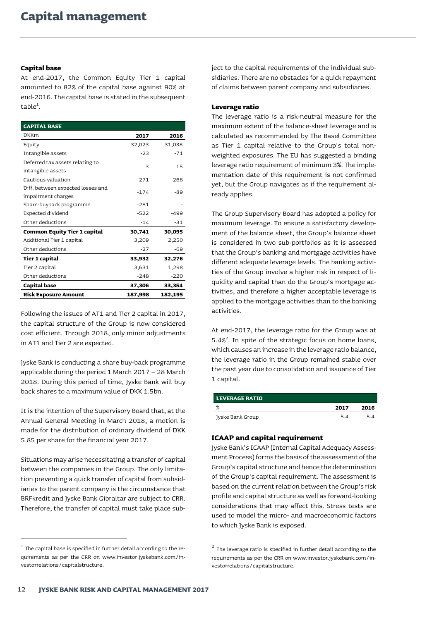#### **Capital base**

At end-2017, the Common Equity Tier 1 capital amounted to 82% of the capital base against 90% at end-2016. The capital base is stated in the subsequent  $table<sup>1</sup>$ .

| <b>CAPITAL BASE</b>                                     |         |         |
|---------------------------------------------------------|---------|---------|
| <b>DKKm</b>                                             | 2017    | 2016    |
| Equity                                                  | 32,023  | 31,038  |
| Intangible assets                                       | $-23$   | $-71$   |
| Deferred tax assets relating to<br>intangible assets    | 3       | 15      |
| Cautious valuation                                      | $-271$  | $-268$  |
| Diff. between expected losses and<br>impairment charges | $-174$  | -89     |
| Share-buyback programme                                 | $-281$  |         |
| Expected dividend                                       | $-522$  | $-499$  |
| Other deductions                                        | $-14$   | $-31$   |
| <b>Common Equity Tier 1 capital</b>                     | 30,741  | 30,095  |
| Additional Tier 1 capital                               | 3,209   | 2,250   |
| Other deductions                                        | $-27$   | $-69$   |
| <b>Tier 1 capital</b>                                   | 33,932  | 32,276  |
| Tier 2 capital                                          | 3,631   | 1,298   |
| Other deductions                                        | $-248$  | $-220$  |
| <b>Capital base</b>                                     | 37,306  | 33,354  |
| <b>Risk Exposure Amount</b>                             | 187,998 | 182,195 |

Following the issues of AT1 and Tier 2 capital in 2017, the capital structure of the Group is now considered cost efficient. Through 2018, only minor adjustments in AT1 and Tier 2 are expected.

Jyske Bank is conducting a share buy-back programme applicable during the period 1 March 2017 – 28 March 2018. During this period of time, Jyske Bank will buy back shares to a maximum value of DKK 1.5bn.

It is the intention of the Supervisory Board that, at the Annual General Meeting in March 2018, a motion is made for the distribution of ordinary dividend of DKK 5.85 per share for the financial year 2017.

Situations may arise necessitating a transfer of capital between the companies in the Group. The only limitation preventing a quick transfer of capital from subsidiaries to the parent company is the circumstance that BRFkredit and Jyske Bank Gibraltar are subject to CRR. Therefore, the transfer of capital must take place sub-

 $\overline{a}$ 

ject to the capital requirements of the individual subsidiaries. There are no obstacles for a quick repayment of claims between parent company and subsidiaries.

#### **Leverage ratio**

The leverage ratio is a risk-neutral measure for the maximum extent of the balance-sheet leverage and is calculated as recommended by The Basel Committee as Tier 1 capital relative to the Group's total nonweighted exposures. The EU has suggested a binding leverage ratio requirement of minimum 3%. The implementation date of this requirement is not confirmed yet, but the Group navigates as if the requirement already applies.

The Group Supervisory Board has adopted a policy for maximum leverage. To ensure a satisfactory development of the balance sheet, the Group's balance sheet is considered in two sub-portfolios as it is assessed that the Group's banking and mortgage activities have different adequate leverage levels. The banking activities of the Group involve a higher risk in respect of liquidity and capital than do the Group's mortgage activities, and therefore a higher acceptable leverage is applied to the mortgage activities than to the banking activities.

At end-2017, the leverage ratio for the Group was at 5.4%<sup>2</sup>. In spite of the strategic focus on home loans, which causes an increase in the leverage ratio balance, the leverage ratio in the Group remained stable over the past year due to consolidation and issuance of Tier 1 capital.

| <b>LEVERAGE RATIO</b> |      |      |
|-----------------------|------|------|
| %                     | 2017 | 2016 |
| Jyske Bank Group      | 54   | 54   |

#### **ICAAP and capital requirement**

Jyske Bank's ICAAP (Internal Capital Adequacy Assessment Process) forms the basis of the assessment of the Group's capital structure and hence the determination of the Group's capital requirement. The assessment is based on the current relation between the Group's risk profile and capital structure as well as forward-looking considerations that may affect this. Stress tests are used to model the micro- and macroeconomic factors to which Jyske Bank is exposed.

 $^{\rm 1}$  The capital base is specified in further detail according to the requirements as per the CRR on www.investor.jyskebank.com/investorrelations/capitalstructure.

<sup>&</sup>lt;sup>2</sup> The leverage ratio is specified in further detail according to the requirements as per the CRR on www.investor.jyskebank.com/investorrelations/capitalstructure.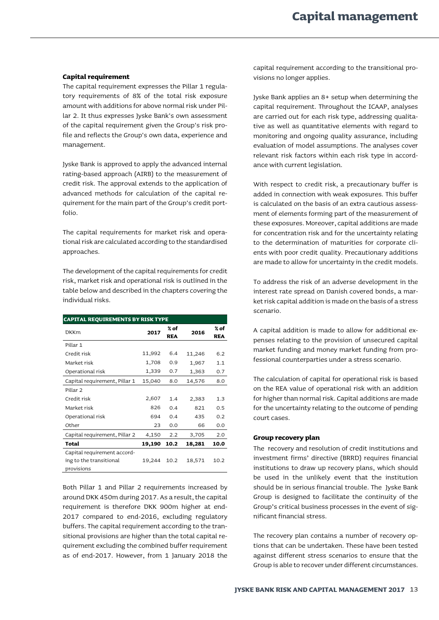#### **Capital requirement**

The capital requirement expresses the Pillar 1 regulatory requirements of 8% of the total risk exposure amount with additions for above normal risk under Pillar 2. It thus expresses Jyske Bank's own assessment of the capital requirement given the Group's risk profile and reflects the Group's own data, experience and management.

Jyske Bank is approved to apply the advanced internal rating-based approach (AIRB) to the measurement of credit risk. The approval extends to the application of advanced methods for calculation of the capital requirement for the main part of the Group's credit portfolio.

The capital requirements for market risk and operational risk are calculated according to the standardised approaches.

The development of the capital requirements for credit risk, market risk and operational risk is outlined in the table below and described in the chapters covering the individual risks.

| <b>CAPITAL REQUIREMENTS BY RISK TYPE</b> |        |                    |        |                    |  |
|------------------------------------------|--------|--------------------|--------|--------------------|--|
| <b>DKKm</b>                              | 2017   | % of<br><b>REA</b> | 2016   | % of<br><b>REA</b> |  |
| Pillar 1                                 |        |                    |        |                    |  |
| Credit risk                              | 11,992 | 6.4                | 11,246 | 6.2                |  |
| Market risk                              | 1,708  | 0.9                | 1,967  | 1.1                |  |
| Operational risk                         | 1,339  | 0.7                | 1,363  | 0.7                |  |
| Capital requirement, Pillar 1            | 15,040 | 8.0                | 14,576 | 8.0                |  |
| Pillar 2                                 |        |                    |        |                    |  |
| Credit risk                              | 2,607  | 1.4                | 2,383  | 1.3                |  |
| Market risk                              | 826    | 0.4                | 821    | 0.5                |  |
| Operational risk                         | 694    | 0.4                | 435    | 0.2                |  |
| Other                                    | 23     | 0.0                | 66     | 0.0                |  |
| Capital requirement, Pillar 2            | 4,150  | 2.2                | 3,705  | 2.0                |  |
| Total                                    | 19,190 | 10.2               | 18,281 | 10.0               |  |
| Capital requirement accord-              |        |                    |        |                    |  |
| ing to the transitional                  | 19,244 | 10.2               | 18,571 | 10.2               |  |
| provisions                               |        |                    |        |                    |  |

Both Pillar 1 and Pillar 2 requirements increased by around DKK 450m during 2017. As a result, the capital requirement is therefore DKK 900m higher at end-2017 compared to end-2016, excluding regulatory buffers. The capital requirement according to the transitional provisions are higher than the total capital requirement excluding the combined buffer requirement as of end-2017. However, from 1 January 2018 the capital requirement according to the transitional provisions no longer applies.

Jyske Bank applies an 8+ setup when determining the capital requirement. Throughout the ICAAP, analyses are carried out for each risk type, addressing qualitative as well as quantitative elements with regard to monitoring and ongoing quality assurance, including evaluation of model assumptions. The analyses cover relevant risk factors within each risk type in accordance with current legislation.

With respect to credit risk, a precautionary buffer is added in connection with weak exposures. This buffer is calculated on the basis of an extra cautious assessment of elements forming part of the measurement of these exposures. Moreover, capital additions are made for concentration risk and for the uncertainty relating to the determination of maturities for corporate clients with poor credit quality. Precautionary additions are made to allow for uncertainty in the credit models.

To address the risk of an adverse development in the interest rate spread on Danish covered bonds, a market risk capital addition is made on the basis of a stress scenario.

A capital addition is made to allow for additional expenses relating to the provision of unsecured capital market funding and money market funding from professional counterparties under a stress scenario.

The calculation of capital for operational risk is based on the REA value of operational risk with an addition for higher than normal risk. Capital additions are made for the uncertainty relating to the outcome of pending court cases.

#### **Group recovery plan**

The recovery and resolution of credit institutions and investment firms' directive (BRRD) requires financial institutions to draw up recovery plans, which should be used in the unlikely event that the institution should be in serious financial trouble. The Jyske Bank Group is designed to facilitate the continuity of the Group's critical business processes in the event of significant financial stress.

The recovery plan contains a number of recovery options that can be undertaken. These have been tested against different stress scenarios to ensure that the Group is able to recover under different circumstances.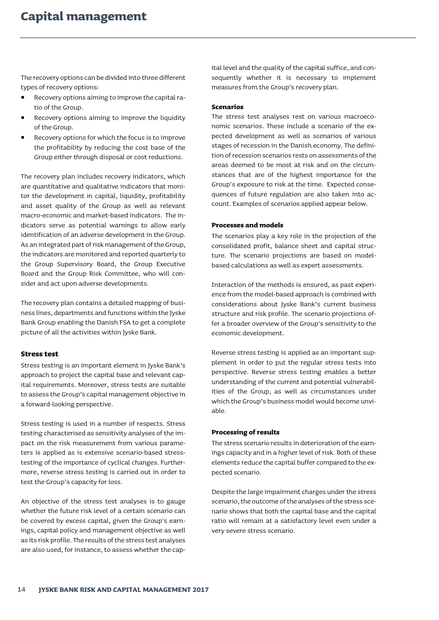The recovery options can be divided into three different types of recovery options:

- Recovery options aiming to improve the capital ratio of the Group.
- Recovery options aiming to improve the liquidity of the Group.
- Recovery options for which the focus is to improve the profitability by reducing the cost base of the Group either through disposal or cost reductions.

The recovery plan includes recovery indicators, which are quantitative and qualitative indicators that monitor the development in capital, liquidity, profitability and asset quality of the Group as well as relevant macro-economic and market-based indicators. The indicators serve as potential warnings to allow early identification of an adverse development in the Group. As an integrated part of risk management of the Group, the indicators are monitored and reported quarterly to the Group Supervisory Board, the Group Executive Board and the Group Risk Committee, who will consider and act upon adverse developments.

The recovery plan contains a detailed mapping of business lines, departments and functions within the Jyske Bank Group enabling the Danish FSA to get a complete picture of all the activities within Jyske Bank.

#### **Stress test**

Stress testing is an important element in Jyske Bank's approach to project the capital base and relevant capital requirements. Moreover, stress tests are suitable to assess the Group's capital management objective in a forward-looking perspective.

Stress testing is used in a number of respects. Stress testing characterised as sensitivity analyses of the impact on the risk measurement from various parameters is applied as is extensive scenario-based stresstesting of the importance of cyclical changes. Furthermore, reverse stress testing is carried out in order to test the Group's capacity for loss.

An objective of the stress test analyses is to gauge whether the future risk level of a certain scenario can be covered by excess capital, given the Group's earnings, capital policy and management objective as well as its risk profile. The results of the stress test analyses are also used, for instance, to assess whether the capital level and the quality of the capital suffice, and consequently whether it is necessary to implement measures from the Group's recovery plan.

#### **Scenarios**

The stress test analyses rest on various macroeconomic scenarios. These include a scenario of the expected development as well as scenarios of various stages of recession in the Danish economy. The definition of recession scenarios rests on assessments of the areas deemed to be most at risk and on the circumstances that are of the highest importance for the Group's exposure to risk at the time. Expected consequences of future regulation are also taken into account. Examples of scenarios applied appear below.

#### **Processes and models**

The scenarios play a key role in the projection of the consolidated profit, balance sheet and capital structure. The scenario projections are based on modelbased calculations as well as expert assessments.

Interaction of the methods is ensured, as past experience from the model-based approach is combined with considerations about Jyske Bank's current business structure and risk profile. The scenario projections offer a broader overview of the Group's sensitivity to the economic development.

Reverse stress testing is applied as an important supplement in order to put the regular stress tests into perspective. Reverse stress testing enables a better understanding of the current and potential vulnerabilities of the Group, as well as circumstances under which the Group's business model would become unviable.

#### **Processing of results**

The stress scenario results in deterioration of the earnings capacity and in a higher level of risk. Both of these elements reduce the capital buffer compared to the expected scenario.

Despite the large impairment charges under the stress scenario, the outcome of the analyses of the stress scenario shows that both the capital base and the capital ratio will remain at a satisfactory level even under a very severe stress scenario.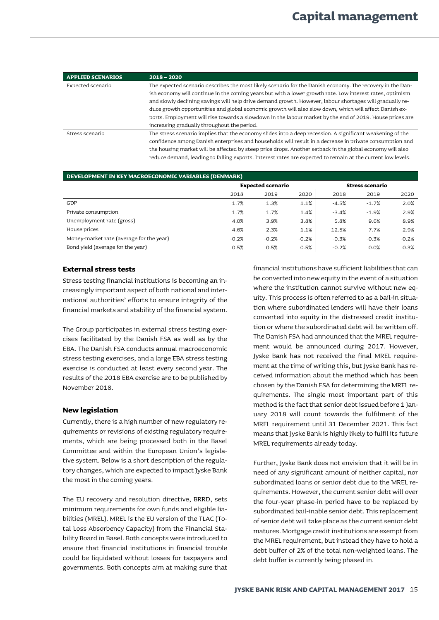| <b>APPLIED SCENARIOS</b> | $2018 - 2020$                                                                                               |  |  |  |
|--------------------------|-------------------------------------------------------------------------------------------------------------|--|--|--|
| Expected scenario        | The expected scenario describes the most likely scenario for the Danish economy. The recovery in the Dan-   |  |  |  |
|                          | ish economy will continue in the coming years but with a lower growth rate. Low interest rates, optimism    |  |  |  |
|                          | and slowly declining savings will help drive demand growth. However, labour shortages will gradually re-    |  |  |  |
|                          | duce growth opportunities and global economic growth will also slow down, which will affect Danish ex-      |  |  |  |
|                          | ports. Employment will rise towards a slowdown in the labour market by the end of 2019. House prices are    |  |  |  |
|                          | increasing gradually throughout the period.                                                                 |  |  |  |
| Stress scenario          | The stress scenario implies that the economy slides into a deep recession. A significant weakening of the   |  |  |  |
|                          | confidence among Danish enterprises and households will result in a decrease in private consumption and     |  |  |  |
|                          | the housing market will be affected by steep price drops. Another setback in the global economy will also   |  |  |  |
|                          | reduce demand, leading to falling exports. Interest rates are expected to remain at the current low levels. |  |  |  |

#### **DEVELOPMENT IN KEY MACROECONOMIC VARIABLES (DENMARK)**

|                                          | <b>Expected scenario</b> |         | <b>Stress scenario</b> |          |         |         |
|------------------------------------------|--------------------------|---------|------------------------|----------|---------|---------|
|                                          | 2018                     | 2019    | 2020                   | 2018     | 2019    | 2020    |
| GDP                                      | 1.7%                     | 1.3%    | 1.1%                   | $-4.5%$  | $-1.7%$ | 2.0%    |
| Private consumption                      | 1.7%                     | 1.7%    | 1.4%                   | $-3.4%$  | $-1.9%$ | 2.9%    |
| Unemployment rate (gross)                | 4.0%                     | 3.9%    | 3.8%                   | 5.8%     | 9.6%    | 8.9%    |
| House prices                             | 4.6%                     | 2.3%    | 1.1%                   | $-12.5%$ | $-7.7%$ | 2.9%    |
| Money-market rate (average for the year) | $-0.2%$                  | $-0.2%$ | $-0.2%$                | $-0.3%$  | $-0.3%$ | $-0.2%$ |
| Bond yield (average for the year)        | 0.5%                     | 0.5%    | 0.5%                   | $-0.2%$  | 0.0%    | 0.3%    |

#### **External stress tests**

Stress testing financial institutions is becoming an increasingly important aspect of both national and international authorities' efforts to ensure integrity of the financial markets and stability of the financial system.

The Group participates in external stress testing exercises facilitated by the Danish FSA as well as by the EBA. The Danish FSA conducts annual macroeconomic stress testing exercises, and a large EBA stress testing exercise is conducted at least every second year. The results of the 2018 EBA exercise are to be published by November 2018.

#### **New legislation**

Currently, there is a high number of new regulatory requirements or revisions of existing regulatory requirements, which are being processed both in the Basel Committee and within the European Union's legislative system. Below is a short description of the regulatory changes, which are expected to impact Jyske Bank the most in the coming years.

The EU recovery and resolution directive, BRRD, sets minimum requirements for own funds and eligible liabilities (MREL). MREL is the EU version of the TLAC (Total Loss Absorbency Capacity) from the Financial Stability Board in Basel. Both concepts were introduced to ensure that financial institutions in financial trouble could be liquidated without losses for taxpayers and governments. Both concepts aim at making sure that financial institutions have sufficient liabilities that can be converted into new equity in the event of a situation where the institution cannot survive without new equity. This process is often referred to as a bail-in situation where subordinated lenders will have their loans converted into equity in the distressed credit institution or where the subordinated debt will be written off. The Danish FSA had announced that the MREL requirement would be announced during 2017. However, Jyske Bank has not received the final MREL requirement at the time of writing this, but Jyske Bank has received information about the method which has been chosen by the Danish FSA for determining the MREL requirements. The single most important part of this method is the fact that senior debt issued before 1 January 2018 will count towards the fulfilment of the MREL requirement until 31 December 2021. This fact means that Jyske Bank is highly likely to fulfil its future MREL requirements already today.

Further, Jyske Bank does not envision that it will be in need of any significant amount of neither capital, nor subordinated loans or senior debt due to the MREL requirements. However, the current senior debt will over the four-year phase-in period have to be replaced by subordinated bail-inable senior debt. This replacement of senior debt will take place as the current senior debt matures. Mortgage credit institutions are exempt from the MREL requirement, but instead they have to hold a debt buffer of 2% of the total non-weighted loans. The debt buffer is currently being phased in.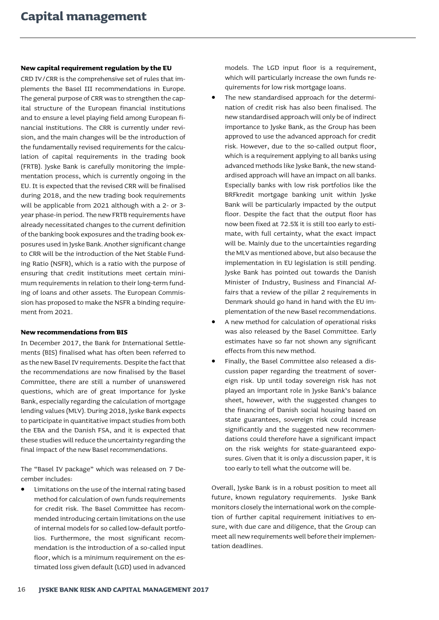#### **New capital requirement regulation by the EU**

CRD IV/CRR is the comprehensive set of rules that implements the Basel III recommendations in Europe. The general purpose of CRR was to strengthen the capital structure of the European financial institutions and to ensure a level playing field among European financial institutions. The CRR is currently under revision, and the main changes will be the introduction of the fundamentally revised requirements for the calculation of capital requirements in the trading book (FRTB). Jyske Bank is carefully monitoring the implementation process, which is currently ongoing in the EU. It is expected that the revised CRR will be finalised during 2018, and the new trading book requirements will be applicable from 2021 although with a 2- or 3 year phase-in period. The new FRTB requirements have already necessitated changes to the current definition of the banking book exposures and the trading book exposures used in Jyske Bank. Another significant change to CRR will be the introduction of the Net Stable Funding Ratio (NSFR), which is a ratio with the purpose of ensuring that credit institutions meet certain minimum requirements in relation to their long-term funding of loans and other assets. The European Commission has proposed to make the NSFR a binding requirement from 2021.

#### **New recommendations from BIS**

In December 2017, the Bank for International Settlements (BIS) finalised what has often been referred to as the new Basel IV requirements. Despite the fact that the recommendations are now finalised by the Basel Committee, there are still a number of unanswered questions, which are of great importance for Jyske Bank, especially regarding the calculation of mortgage lending values (MLV). During 2018, Jyske Bank expects to participate in quantitative impact studies from both the EBA and the Danish FSA, and it is expected that these studies will reduce the uncertainty regarding the final impact of the new Basel recommendations.

The "Basel IV package" which was released on 7 December includes:

 Limitations on the use of the internal rating based method for calculation of own funds requirements for credit risk. The Basel Committee has recommended introducing certain limitations on the use of internal models for so called low-default portfolios. Furthermore, the most significant recommendation is the introduction of a so-called input floor, which is a minimum requirement on the estimated loss given default (LGD) used in advanced models. The LGD input floor is a requirement, which will particularly increase the own funds requirements for low risk mortgage loans.

- The new standardised approach for the determination of credit risk has also been finalised. The new standardised approach will only be of indirect importance to Jyske Bank, as the Group has been approved to use the advanced approach for credit risk. However, due to the so-called output floor, which is a requirement applying to all banks using advanced methods like Jyske Bank, the new standardised approach will have an impact on all banks. Especially banks with low risk portfolios like the BRFkredit mortgage banking unit within Jyske Bank will be particularly impacted by the output floor. Despite the fact that the output floor has now been fixed at 72.5% it is still too early to estimate, with full certainty, what the exact impact will be. Mainly due to the uncertainties regarding the MLV as mentioned above, but also because the implementation in EU legislation is still pending. Jyske Bank has pointed out towards the Danish Minister of Industry, Business and Financial Affairs that a review of the pillar 2 requirements in Denmark should go hand in hand with the EU implementation of the new Basel recommendations.
- A new method for calculation of operational risks was also released by the Basel Committee. Early estimates have so far not shown any significant effects from this new method.
- Finally, the Basel Committee also released a discussion paper regarding the treatment of sovereign risk. Up until today sovereign risk has not played an important role in Jyske Bank's balance sheet, however, with the suggested changes to the financing of Danish social housing based on state guarantees, sovereign risk could increase significantly and the suggested new recommendations could therefore have a significant impact on the risk weights for state-guaranteed exposures. Given that it is only a discussion paper, it is too early to tell what the outcome will be.

Overall, Jyske Bank is in a robust position to meet all future, known regulatory requirements. Jyske Bank monitors closely the international work on the completion of further capital requirement initiatives to ensure, with due care and diligence, that the Group can meet all new requirements well before their implementation deadlines.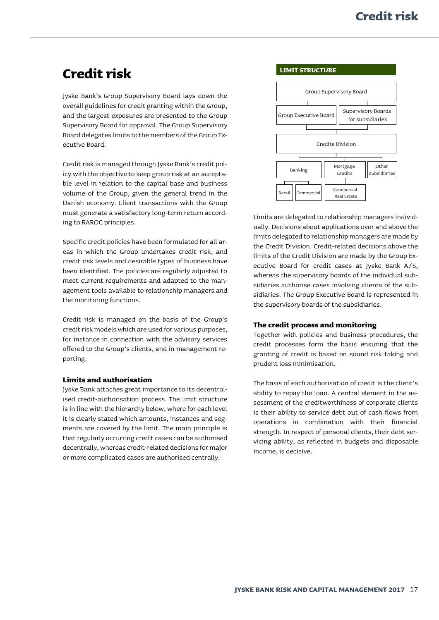## <span id="page-18-0"></span>**Credit risk**

Jyske Bank's Group Supervisory Board lays down the overall guidelines for credit granting within the Group, and the largest exposures are presented to the Group Supervisory Board for approval. The Group Supervisory Board delegates limits to the members of the Group Executive Board.

Credit risk is managed through Jyske Bank's credit policy with the objective to keep group risk at an acceptable level in relation to the capital base and business volume of the Group, given the general trend in the Danish economy. Client transactions with the Group must generate a satisfactory long-term return according to RAROC principles.

Specific credit policies have been formulated for all areas in which the Group undertakes credit risk, and credit risk levels and desirable types of business have been identified. The policies are regularly adjusted to meet current requirements and adapted to the management tools available to relationship managers and the monitoring functions.

Credit risk is managed on the basis of the Group's credit risk models which are used for various purposes, for instance in connection with the advisory services offered to the Group's clients, and in management reporting.

#### **Limits and authorisation**

Jyske Bank attaches great importance to its decentralised credit-authorisation process. The limit structure is in line with the hierarchy below, where for each level it is clearly stated which amounts, instances and segments are covered by the limit. The main principle is that regularly occurring credit cases can be authorised decentrally, whereas credit-related decisions for major or more complicated cases are authorised centrally.

#### **LIMIT STRUCTURE**



Limits are delegated to relationship managers individually. Decisions about applications over and above the limits delegated to relationship managers are made by the Credit Division. Credit-related decisions above the limits of the Credit Division are made by the Group Executive Board for credit cases at Jyske Bank A/S, whereas the supervisory boards of the individual subsidiaries authorise cases involving clients of the subsidiaries. The Group Executive Board is represented in the supervisory boards of the subsidiaries.

#### **The credit process and monitoring**

Together with policies and business procedures, the credit processes form the basis ensuring that the granting of credit is based on sound risk taking and prudent loss minimisation.

The basis of each authorisation of credit is the client's ability to repay the loan. A central element in the assessment of the creditworthiness of corporate clients is their ability to service debt out of cash flows from operations in combination with their financial strength. In respect of personal clients, their debt servicing ability, as reflected in budgets and disposable income, is decisive.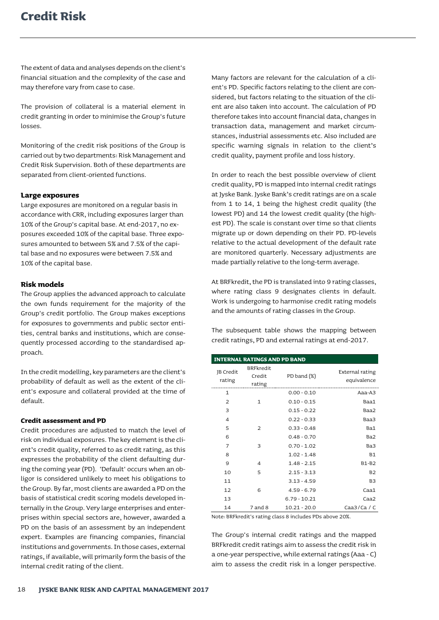The extent of data and analyses depends on the client's financial situation and the complexity of the case and may therefore vary from case to case.

The provision of collateral is a material element in credit granting in order to minimise the Group's future losses.

Monitoring of the credit risk positions of the Group is carried out by two departments: Risk Management and Credit Risk Supervision. Both of these departments are separated from client-oriented functions.

#### **Large exposures**

Large exposures are monitored on a regular basis in accordance with CRR, including exposures larger than 10% of the Group's capital base. At end-2017, no exposures exceeded 10% of the capital base. Three exposures amounted to between 5% and 7.5% of the capital base and no exposures were between 7.5% and 10% of the capital base.

#### **Risk models**

The Group applies the advanced approach to calculate the own funds requirement for the majority of the Group's credit portfolio. The Group makes exceptions for exposures to governments and public sector entities, central banks and institutions, which are consequently processed according to the standardised approach.

In the credit modelling, key parameters are the client's probability of default as well as the extent of the client's exposure and collateral provided at the time of default.

#### **Credit assessment and PD**

Credit procedures are adjusted to match the level of risk on individual exposures. The key element is the client's credit quality, referred to as credit rating, as this expresses the probability of the client defaulting during the coming year (PD). 'Default' occurs when an obligor is considered unlikely to meet his obligations to the Group. By far, most clients are awarded a PD on the basis of statistical credit scoring models developed internally in the Group. Very large enterprises and enterprises within special sectors are, however, awarded a PD on the basis of an assessment by an independent expert. Examples are financing companies, financial institutions and governments. In those cases, external ratings, if available, will primarily form the basis of the internal credit rating of the client.

Many factors are relevant for the calculation of a client's PD. Specific factors relating to the client are considered, but factors relating to the situation of the client are also taken into account. The calculation of PD therefore takes into account financial data, changes in transaction data, management and market circumstances, industrial assessments etc. Also included are specific warning signals in relation to the client's credit quality, payment profile and loss history.

In order to reach the best possible overview of client credit quality, PD is mapped into internal credit ratings at Jyske Bank. Jyske Bank's credit ratings are on a scale from 1 to 14, 1 being the highest credit quality (the lowest PD) and 14 the lowest credit quality (the highest PD). The scale is constant over time so that clients migrate up or down depending on their PD. PD-levels relative to the actual development of the default rate are monitored quarterly. Necessary adjustments are made partially relative to the long-term average.

At BRFkredit, the PD is translated into 9 rating classes, where rating class 9 designates clients in default. Work is undergoing to harmonise credit rating models and the amounts of rating classes in the Group.

The subsequent table shows the mapping between credit ratings, PD and external ratings at end-2017.

| <b>INTERNAL RATINGS AND PD BAND</b> |                                      |                |                                |  |  |
|-------------------------------------|--------------------------------------|----------------|--------------------------------|--|--|
| <b>JB</b> Credit<br>rating          | <b>BRFkredit</b><br>Credit<br>rating | PD band (%)    | External rating<br>equivalence |  |  |
| $\mathbf{1}$                        |                                      | $0.00 - 0.10$  | Aaa-A3                         |  |  |
| $\mathcal{P}$                       | $\mathbf{1}$                         | $0.10 - 0.15$  | Baa1                           |  |  |
| 3                                   |                                      | $0.15 - 0.22$  | Baa2                           |  |  |
| 4                                   |                                      | $0.22 - 0.33$  | Baa3                           |  |  |
| 5                                   | $\overline{2}$                       | $0.33 - 0.48$  | Ba1                            |  |  |
| 6                                   |                                      | $0.48 - 0.70$  | Ba <sub>2</sub>                |  |  |
| 7                                   | 3                                    | $0.70 - 1.02$  | Ba3                            |  |  |
| 8                                   |                                      | $1.02 - 1.48$  | B <sub>1</sub>                 |  |  |
| g                                   | 4                                    | $1.48 - 2.15$  | $B1-B2$                        |  |  |
| 10                                  | 5                                    | $2.15 - 3.13$  | B <sub>2</sub>                 |  |  |
| 11                                  |                                      | $3.13 - 4.59$  | B <sub>3</sub>                 |  |  |
| 12                                  | 6                                    | $4.59 - 6.79$  | Caa1                           |  |  |
| 13                                  |                                      | $6.79 - 10.21$ | Caa2                           |  |  |
| 14                                  | $7$ and $8$                          | $10.21 - 20.0$ | Caa3/Ca/C                      |  |  |

Note: BRFkredit's rating class 8 includes PDs above 20%.

The Group's internal credit ratings and the mapped BRFkredit credit ratings aim to assess the credit risk in a one-year perspective, while external ratings (Aaa - C) aim to assess the credit risk in a longer perspective.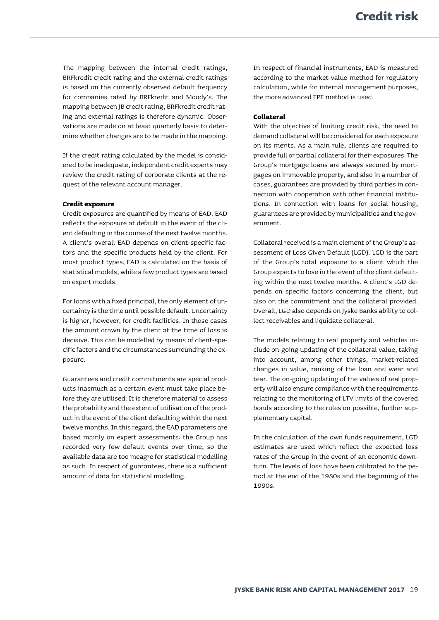The mapping between the internal credit ratings, BRFkredit credit rating and the external credit ratings is based on the currently observed default frequency for companies rated by BRFkredit and Moody's. The mapping between JB credit rating, BRFkredit credit rating and external ratings is therefore dynamic. Observations are made on at least quarterly basis to determine whether changes are to be made in the mapping.

If the credit rating calculated by the model is considered to be inadequate, independent credit experts may review the credit rating of corporate clients at the request of the relevant account manager.

#### **Credit exposure**

Credit exposures are quantified by means of EAD. EAD reflects the exposure at default in the event of the client defaulting in the course of the next twelve months. A client's overall EAD depends on client-specific factors and the specific products held by the client. For most product types, EAD is calculated on the basis of statistical models, while a few product types are based on expert models.

For loans with a fixed principal, the only element of uncertainty is the time until possible default. Uncertainty is higher, however, for credit facilities. In those cases the amount drawn by the client at the time of loss is decisive. This can be modelled by means of client-specific factors and the circumstances surrounding the exposure.

Guarantees and credit commitments are special products inasmuch as a certain event must take place before they are utilised. It is therefore material to assess the probability and the extent of utilisation of the product in the event of the client defaulting within the next twelve months. In this regard, the EAD parameters are based mainly on expert assessments: the Group has recorded very few default events over time, so the available data are too meagre for statistical modelling as such. In respect of guarantees, there is a sufficient amount of data for statistical modelling.

In respect of financial instruments, EAD is measured according to the market-value method for regulatory calculation, while for internal management purposes, the more advanced EPE method is used.

#### **Collateral**

With the objective of limiting credit risk, the need to demand collateral will be considered for each exposure on its merits. As a main rule, clients are required to provide full or partial collateral for their exposures. The Group's mortgage loans are always secured by mortgages on immovable property, and also in a number of cases, guarantees are provided by third parties in connection with cooperation with other financial institutions. In connection with loans for social housing, guarantees are provided by municipalities and the government.

Collateral received is a main element of the Group's assessment of Loss Given Default (LGD). LGD is the part of the Group's total exposure to a client which the Group expects to lose in the event of the client defaulting within the next twelve months. A client's LGD depends on specific factors concerning the client, but also on the commitment and the collateral provided. Overall, LGD also depends on Jyske Banks ability to collect receivables and liquidate collateral.

The models relating to real property and vehicles include on-going updating of the collateral value, taking into account, among other things, market-related changes in value, ranking of the loan and wear and tear. The on-going updating of the values of real property will also ensure compliance with the requirements relating to the monitoring of LTV limits of the covered bonds according to the rules on possible, further supplementary capital.

In the calculation of the own funds requirement, LGD estimates are used which reflect the expected loss rates of the Group in the event of an economic downturn. The levels of loss have been calibrated to the period at the end of the 1980s and the beginning of the 1990s.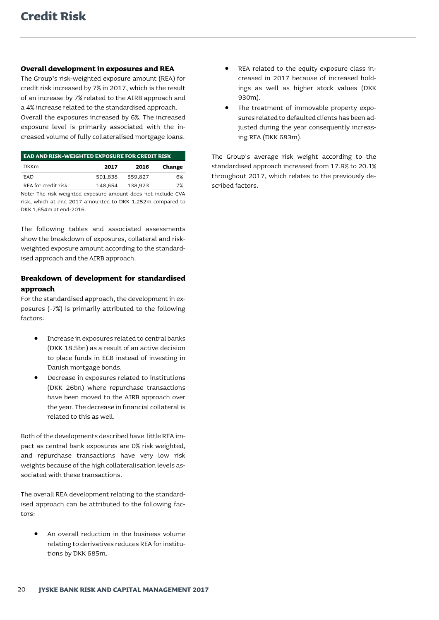#### **Overall development in exposures and REA**

The Group's risk-weighted exposure amount (REA) for credit risk increased by 7% in 2017, which is the result of an increase by 7% related to the AIRB approach and a 4% increase related to the standardised approach.

Overall the exposures increased by 6%. The increased exposure level is primarily associated with the increased volume of fully collateralised mortgage loans.

| <b>EAD AND RISK-WEIGHTED EXPOSURE FOR CREDIT RISK</b>        |         |         |        |  |  |
|--------------------------------------------------------------|---------|---------|--------|--|--|
| <b>DKKm</b>                                                  | 2017    | 2016    | Change |  |  |
| <b>EAD</b>                                                   | 591,838 | 559,827 | 6%     |  |  |
| REA for credit risk                                          | 148,654 | 138,923 | 7%     |  |  |
| Note: The risk-weighted exposure amount does not include CVA |         |         |        |  |  |

The risk-weighted exposure amount does not include Q risk, which at end-2017 amounted to DKK 1,252m compared to DKK 1,654m at end-2016.

The following tables and associated assessments show the breakdown of exposures, collateral and riskweighted exposure amount according to the standardised approach and the AIRB approach.

#### **Breakdown of development for standardised approach**

For the standardised approach, the development in exposures (-7%) is primarily attributed to the following factors:

- Increase in exposures related to central banks (DKK 18.5bn) as a result of an active decision to place funds in ECB instead of investing in Danish mortgage bonds.
- Decrease in exposures related to institutions (DKK 26bn) where repurchase transactions have been moved to the AIRB approach over the year. The decrease in financial collateral is related to this as well.

Both of the developments described have little REA impact as central bank exposures are 0% risk weighted, and repurchase transactions have very low risk weights because of the high collateralisation levels associated with these transactions.

The overall REA development relating to the standardised approach can be attributed to the following factors:

 An overall reduction in the business volume relating to derivatives reduces REA for institutions by DKK 685m.

- REA related to the equity exposure class increased in 2017 because of increased holdings as well as higher stock values (DKK 930m).
- The treatment of immovable property exposures related to defaulted clients has been adjusted during the year consequently increasing REA (DKK 683m).

The Group's average risk weight according to the standardised approach increased from 17.9% to 20.1% throughout 2017, which relates to the previously described factors.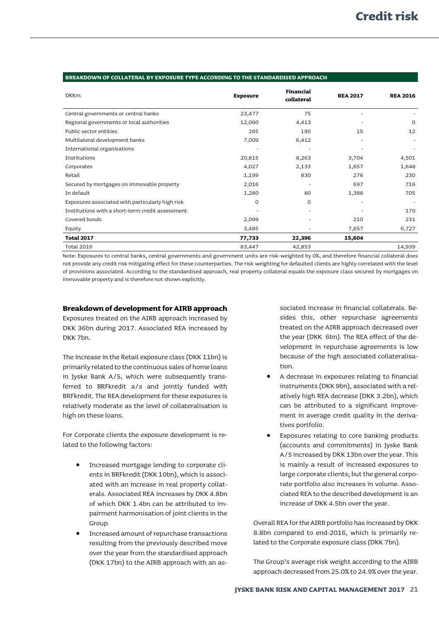| <b>DKKm</b>                                      | <b>Exposure</b> | <b>Financial</b><br>collateral | <b>REA 2017</b> | <b>REA 2016</b> |
|--------------------------------------------------|-----------------|--------------------------------|-----------------|-----------------|
| Central governments or central banks             | 23,477          | 75                             |                 |                 |
| Regional governments or local authorities        | 12,060          | 4,413                          |                 | $\circ$         |
| Public sector entities                           | 265             | 190                            | 15              | 12              |
| Multilateral development banks                   | 7,009           | 6,412                          |                 |                 |
| International organisations                      |                 |                                |                 |                 |
| Institutions                                     | 20,815          | 8,263                          | 3,704           | 4,501           |
| Corporates                                       | 4,027           | 2,133                          | 1,657           | 1,648           |
| Retail                                           | 1,199           | 830                            | 276             | 230             |
| Secured by mortgages on immovable property       | 2,016           |                                | 697             | 716             |
| In default                                       | 1,280           | 80                             | 1,388           | 705             |
| Exposures associated with particularly high risk | $\Omega$        | 0                              |                 |                 |
| Institutions with a short-term credit assessment |                 |                                |                 | 170             |
| Covered bonds                                    | 2,099           |                                | 210             | 231             |
| Equity                                           | 3,485           |                                | 7,657           | 6,727           |
| <b>Total 2017</b>                                | 77,733          | 22,396                         | 15,604          |                 |
| <b>Total 2016</b>                                | 83,447          | 42,853                         |                 | 14,939          |

#### **BREAKDOWN OF COLLATERAL BY EXPOSURE TYPE ACCORDING TO THE STANDARDISED APPROACH**

Note: Exposures to central banks, central governments and government units are risk-weighted by 0%, and therefore financial collateral does not provide any credit risk mitigating effect for these counterparties. The risk weighting for defaulted clients are highly correlated with the level of provisions associated. According to the standardised approach, real property collateral equals the exposure class secured by mortgages on immovable property and is therefore not shown explicitly.

#### **Breakdown of development for AIRB approach**

Exposures treated on the AIRB approach increased by DKK 36bn during 2017. Associated REA increased by DKK 7bn.

The increase in the Retail exposure class (DKK 11bn) is primarily related to the continuous sales of home loans in Jyske Bank A/S, which were subsequently transferred to BRFkredit a/s and jointly funded with BRFkredit. The REA development for these exposures is relatively moderate as the level of collateralisation is high on these loans.

For Corporate clients the exposure development is related to the following factors:

- Increased mortgage lending to corporate clients in BRFkredit (DKK 10bn), which is associated with an increase in real property collaterals. Associated REA increases by DKK 4.8bn of which DKK 1.4bn can be attributed to impairment harmonisation of joint clients in the Group.
- Increased amount of repurchase transactions resulting from the previously described move over the year from the standardised approach (DKK 17bn) to the AIRB approach with an as-

sociated increase in financial collaterals. Besides this, other repurchase agreements treated on the AIRB approach decreased over the year (DKK 6bn). The REA effect of the development in repurchase agreements is low because of the high associated collateralisation.

- A decrease in exposures relating to financial instruments (DKK 9bn), associated with a relatively high REA decrease (DKK 3.2bn), which can be attributed to a significant improvement in average credit quality in the derivatives portfolio.
- Exposures relating to core banking products (accounts and commitments) in Jyske Bank A/S increased by DKK 13bn over the year. This is mainly a result of increased exposures to large corporate clients; but the general corporate portfolio also increases in volume. Associated REA to the described development is an increase of DKK 4.5bn over the year.

Overall REA for the AIRB portfolio has increased by DKK 8.8bn compared to end-2016, which is primarily related to the Corporate exposure class (DKK 7bn).

The Group's average risk weight according to the AIRB approach decreased from 25.0% to 24.9% over the year.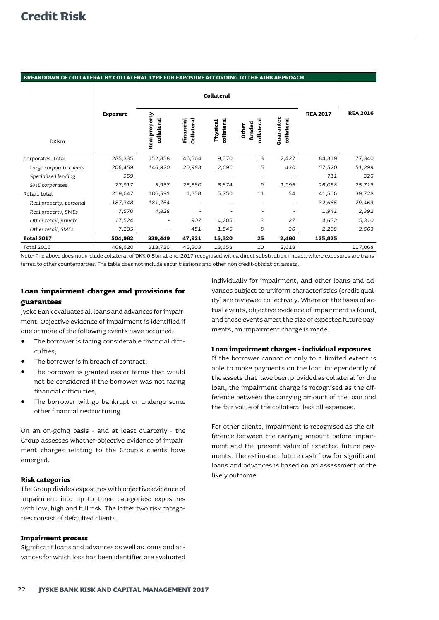#### **BREAKDOWN OF COLLATERAL BY COLLATERAL TYPE FOR EXPOSURE ACCORDING TO THE AIRB APPROACH**

|                         |                 | <b>Collateral</b>           |                         |                        |                               |                         |                 |                 |
|-------------------------|-----------------|-----------------------------|-------------------------|------------------------|-------------------------------|-------------------------|-----------------|-----------------|
| <b>DKKm</b>             | <b>Exposure</b> | Real property<br>collateral | Collateral<br>Financial | collateral<br>Physical | collateral<br>funded<br>Other | Guarantee<br>collateral | <b>REA 2017</b> | <b>REA 2016</b> |
| Corporates, total       | 285,335         | 152,858                     | 46,564                  | 9,570                  | 13                            | 2,427                   | 84,319          | 77,340          |
| Large corporate clients | 206,459         | 146,920                     | 20,983                  | 2,696                  | 5                             | 430                     | 57,520          | 51,299          |
| Specialised lending     | 959             |                             |                         |                        |                               |                         | 711             | 326             |
| SME corporates          | 77,917          | 5,937                       | 25,580                  | 6,874                  | 9                             | 1,996                   | 26,088          | 25,716          |
| Retail, total           | 219,647         | 186,591                     | 1,358                   | 5,750                  | 11                            | 54                      | 41,506          | 39,728          |
| Real property, personal | 187,348         | 181,764                     |                         |                        |                               |                         | 32,665          | 29,463          |
| Real property, SMEs     | 7,570           | 4,828                       |                         |                        |                               |                         | 1,941           | 2,392           |
| Other retail, private   | 17,524          | ٠                           | 907                     | 4,205                  | 3                             | 27                      | 4,632           | 5,310           |
| Other retail, SMEs      | 7,205           |                             | 451                     | 1,545                  | 8                             | 26                      | 2,268           | 2,563           |
| <b>Total 2017</b>       | 504,982         | 339,449                     | 47,921                  | 15,320                 | 25                            | 2,480                   | 125,825         |                 |
| <b>Total 2016</b>       | 468,620         | 313,736                     | 45,503                  | 13,658                 | 10                            | 2,618                   |                 | 117,068         |

Note: The above does not include collateral of DKK 0.5bn at end-2017 recognised with a direct substitution impact, where exposures are transferred to other counterparties. The table does not include securitisations and other non credit-obligation assets.

#### **Loan impairment charges and provisions for guarantees**

Jyske Bank evaluates all loans and advances for impairment. Objective evidence of impairment is identified if one or more of the following events have occurred:

- The borrower is facing considerable financial difficulties;
- The borrower is in breach of contract;
- The borrower is granted easier terms that would not be considered if the borrower was not facing financial difficulties;
- The borrower will go bankrupt or undergo some other financial restructuring.

On an on-going basis - and at least quarterly - the Group assesses whether objective evidence of impairment charges relating to the Group's clients have emerged.

#### **Risk categories**

The Group divides exposures with objective evidence of impairment into up to three categories: exposures with low, high and full risk. The latter two risk categories consist of defaulted clients.

#### **Impairment process**

Significant loans and advances as well as loans and advances for which loss has been identified are evaluated individually for impairment, and other loans and advances subject to uniform characteristics (credit quality) are reviewed collectively. Where on the basis of actual events, objective evidence of impairment is found, and those events affect the size of expected future payments, an impairment charge is made.

#### **Loan impairment charges - individual exposures**

If the borrower cannot or only to a limited extent is able to make payments on the loan independently of the assets that have been provided as collateral for the loan, the impairment charge is recognised as the difference between the carrying amount of the loan and the fair value of the collateral less all expenses.

For other clients, impairment is recognised as the difference between the carrying amount before impairment and the present value of expected future payments. The estimated future cash flow for significant loans and advances is based on an assessment of the likely outcome.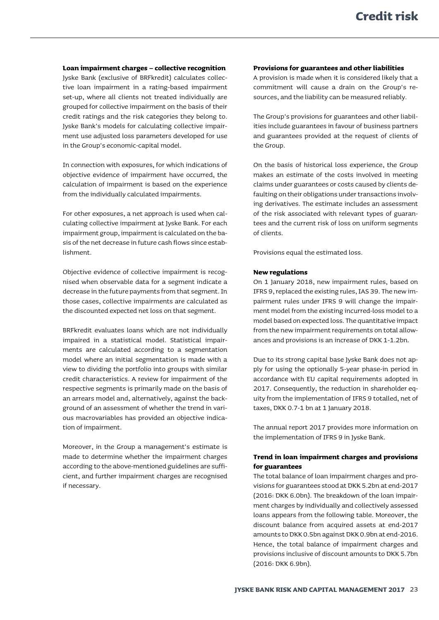#### **Loan impairment charges – collective recognition**

Jyske Bank (exclusive of BRFkredit) calculates collective loan impairment in a rating-based impairment set-up, where all clients not treated individually are grouped for collective impairment on the basis of their credit ratings and the risk categories they belong to. Jyske Bank's models for calculating collective impairment use adjusted loss parameters developed for use in the Group's economic-capital model.

In connection with exposures, for which indications of objective evidence of impairment have occurred, the calculation of impairment is based on the experience from the individually calculated impairments.

For other exposures, a net approach is used when calculating collective impairment at Jyske Bank. For each impairment group, impairment is calculated on the basis of the net decrease in future cash flows since establishment.

Objective evidence of collective impairment is recognised when observable data for a segment indicate a decrease in the future payments from that segment. In those cases, collective impairments are calculated as the discounted expected net loss on that segment.

BRFkredit evaluates loans which are not individually impaired in a statistical model. Statistical impairments are calculated according to a segmentation model where an initial segmentation is made with a view to dividing the portfolio into groups with similar credit characteristics. A review for impairment of the respective segments is primarily made on the basis of an arrears model and, alternatively, against the background of an assessment of whether the trend in various macrovariables has provided an objective indication of impairment.

Moreover, in the Group a management's estimate is made to determine whether the impairment charges according to the above-mentioned guidelines are sufficient, and further impairment charges are recognised if necessary.

#### **Provisions for guarantees and other liabilities**

A provision is made when it is considered likely that a commitment will cause a drain on the Group's resources, and the liability can be measured reliably.

The Group's provisions for guarantees and other liabilities include guarantees in favour of business partners and guarantees provided at the request of clients of the Group.

On the basis of historical loss experience, the Group makes an estimate of the costs involved in meeting claims under guarantees or costs caused by clients defaulting on their obligations under transactions involving derivatives. The estimate includes an assessment of the risk associated with relevant types of guarantees and the current risk of loss on uniform segments of clients.

Provisions equal the estimated loss.

#### **New regulations**

On 1 January 2018, new impairment rules, based on IFRS 9,replaced the existing rules, IAS 39. The new impairment rules under IFRS 9 will change the impairment model from the existing incurred-loss model to a model based on expected loss. The quantitative impact from the new impairment requirements on total allowances and provisions is an increase of DKK 1-1.2bn.

Due to its strong capital base Jyske Bank does not apply for using the optionally 5-year phase-in period in accordance with EU capital requirements adopted in 2017. Consequently, the reduction in shareholder equity from the implementation of IFRS 9 totalled, net of taxes, DKK 0.7-1 bn at 1 January 2018.

The annual report 2017 provides more information on the implementation of IFRS 9 in Jyske Bank.

#### **Trend in loan impairment charges and provisions for guarantees**

The total balance of loan impairment charges and provisions for guarantees stood at DKK 5.2bn at end-2017 (2016: DKK 6.0bn). The breakdown of the loan impairment charges by individually and collectively assessed loans appears from the following table. Moreover, the discount balance from acquired assets at end-2017 amounts to DKK 0.5bn against DKK 0.9bn at end-2016. Hence, the total balance of impairment charges and provisions inclusive of discount amounts to DKK 5.7bn (2016: DKK 6.9bn).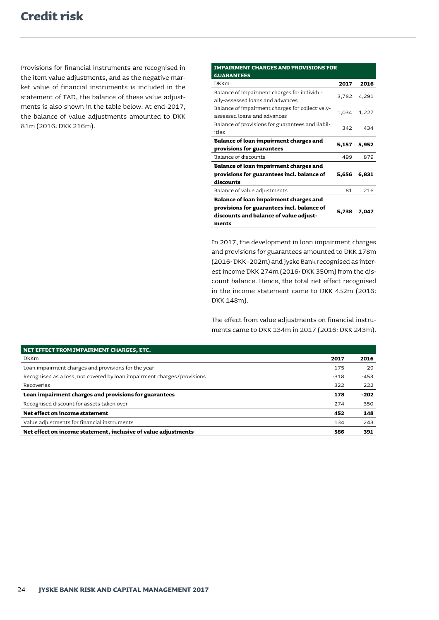Provisions for financial instruments are recognised in the item value adjustments, and as the negative market value of financial instruments is included in the statement of EAD, the balance of these value adjustments is also shown in the table below. At end-2017, the balance of value adjustments amounted to DKK 81m (2016: DKK 216m).

| <b>IMPAIRMENT CHARGES AND PROVISIONS FOR</b>                                    |       |       |  |  |  |
|---------------------------------------------------------------------------------|-------|-------|--|--|--|
| <b>GUARANTEES</b>                                                               |       |       |  |  |  |
| <b>DKKm</b>                                                                     | 2017  | 2016  |  |  |  |
| Balance of impairment charges for individu-<br>ally-assessed loans and advances | 3,782 | 4,291 |  |  |  |
| Balance of impairment charges for collectively-<br>assessed loans and advances  | 1,034 | 1,227 |  |  |  |
| Balance of provisions for guarantees and liabil-<br>ities                       | 342   | 434   |  |  |  |
| Balance of loan impairment charges and                                          | 5,157 | 5,952 |  |  |  |
| provisions for guarantees                                                       |       |       |  |  |  |
| Balance of discounts                                                            | 499   | 879   |  |  |  |
| Balance of loan impairment charges and                                          |       |       |  |  |  |
| provisions for guarantees incl. balance of                                      | 5,656 | 6,831 |  |  |  |
| discounts                                                                       |       |       |  |  |  |
| Balance of value adjustments                                                    | 81    | 216   |  |  |  |
| Balance of loan impairment charges and                                          |       |       |  |  |  |
| provisions for guarantees incl. balance of                                      | 5,738 | 7,047 |  |  |  |
| discounts and balance of value adjust-                                          |       |       |  |  |  |
| ments                                                                           |       |       |  |  |  |

In 2017, the development in loan impairment charges and provisions for guarantees amounted to DKK 178m (2016: DKK -202m) and Jyske Bank recognised as interest income DKK 274m (2016: DKK 350m) from the discount balance. Hence, the total net effect recognised in the income statement came to DKK 452m (2016: DKK 148m).

The effect from value adjustments on financial instruments came to DKK 134m in 2017 (2016: DKK 243m).

| NET EFFECT FROM IMPAIRMENT CHARGES, ETC.                                |        |        |
|-------------------------------------------------------------------------|--------|--------|
| <b>DKKm</b>                                                             | 2017   | 2016   |
| Loan impairment charges and provisions for the year                     | 175    | 29     |
| Recognised as a loss, not covered by loan impairment charges/provisions | $-318$ | $-453$ |
| Recoveries                                                              | 322    | 222    |
| Loan impairment charges and provisions for guarantees                   | 178    | -202   |
| Recognised discount for assets taken over                               | 274    | 350    |
| Net effect on income statement                                          | 452    | 148    |
| Value adjustments for financial instruments                             | 134    | 243    |
| Net effect on income statement, inclusive of value adjustments          | 586    | 391    |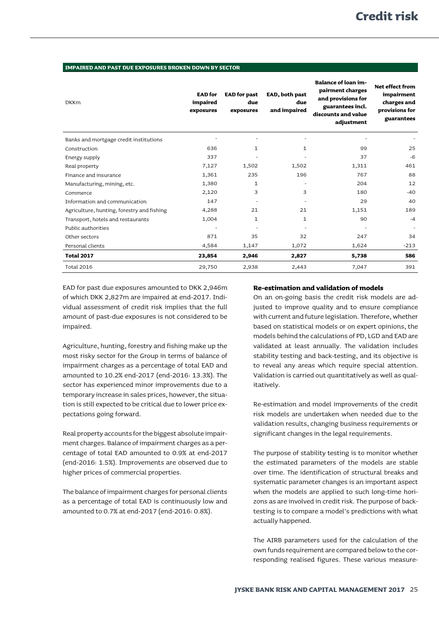#### **IMPAIRED AND PAST DUE EXPOSURES BROKEN DOWN BY SECTOR**

| <b>DKKm</b>                                | <b>EAD</b> for<br>impaired<br>exposures | <b>EAD</b> for past<br>due<br>exposures | EAD, both past<br>due<br>and impaired | <b>Balance of loan im-</b><br>pairment charges<br>and provisions for<br>guarantees incl.<br>discounts and value<br>adjustment | Net effect from<br>impairment<br>charges and<br>provisions for<br>guarantees |
|--------------------------------------------|-----------------------------------------|-----------------------------------------|---------------------------------------|-------------------------------------------------------------------------------------------------------------------------------|------------------------------------------------------------------------------|
| Banks and mortgage credit institutions     |                                         |                                         |                                       |                                                                                                                               |                                                                              |
| Construction                               | 636                                     | $\mathbf{1}$                            | 1                                     | 99                                                                                                                            | 25                                                                           |
| Energy supply                              | 337                                     |                                         |                                       | 37                                                                                                                            | $-6$                                                                         |
| Real property                              | 7,127                                   | 1,502                                   | 1,502                                 | 1,311                                                                                                                         | 461                                                                          |
| Finance and insurance                      | 1,361                                   | 235                                     | 196                                   | 767                                                                                                                           | 88                                                                           |
| Manufacturing, mining, etc.                | 1,380                                   | 1                                       |                                       | 204                                                                                                                           | 12                                                                           |
| Commerce                                   | 2,120                                   | 3                                       | 3                                     | 180                                                                                                                           | $-40$                                                                        |
| Information and communication              | 147                                     |                                         |                                       | 29                                                                                                                            | 40                                                                           |
| Agriculture, hunting, forestry and fishing | 4,288                                   | 21                                      | 21                                    | 1,151                                                                                                                         | 189                                                                          |
| Transport, hotels and restaurants          | 1,004                                   | 1                                       | 1                                     | 90                                                                                                                            | $-4$                                                                         |
| Public authorities                         |                                         |                                         |                                       |                                                                                                                               | $\overline{\phantom{a}}$                                                     |
| Other sectors                              | 871                                     | 35                                      | 32                                    | 247                                                                                                                           | 34                                                                           |
| Personal clients                           | 4,584                                   | 1,147                                   | 1,072                                 | 1,624                                                                                                                         | $-213$                                                                       |
| <b>Total 2017</b>                          | 23,854                                  | 2,946                                   | 2,827                                 | 5,738                                                                                                                         | 586                                                                          |
| <b>Total 2016</b>                          | 29,750                                  | 2,938                                   | 2,443                                 | 7,047                                                                                                                         | 391                                                                          |

EAD for past due exposures amounted to DKK 2,946m of which DKK 2,827m are impaired at end-2017. Individual assessment of credit risk implies that the full amount of past-due exposures is not considered to be impaired.

Agriculture, hunting, forestry and fishing make up the most risky sector for the Group in terms of balance of impairment charges as a percentage of total EAD and amounted to 10.2% end-2017 (end-2016: 13.3%). The sector has experienced minor improvements due to a temporary increase in sales prices, however, the situation is still expected to be critical due to lower price expectations going forward.

Real property accounts for the biggest absolute impairment charges. Balance of impairment charges as a percentage of total EAD amounted to 0.9% at end-2017 (end-2016: 1.5%). Improvements are observed due to higher prices of commercial properties.

The balance of impairment charges for personal clients as a percentage of total EAD is continuously low and amounted to 0.7% at end-2017 (end-2016: 0.8%).

#### **Re-estimation and validation of models**

On an on-going basis the credit risk models are adjusted to improve quality and to ensure compliance with current and future legislation. Therefore, whether based on statistical models or on expert opinions, the models behind the calculations of PD, LGD and EAD are validated at least annually. The validation includes stability testing and back-testing, and its objective is to reveal any areas which require special attention. Validation is carried out quantitatively as well as qualitatively.

Re-estimation and model improvements of the credit risk models are undertaken when needed due to the validation results, changing business requirements or significant changes in the legal requirements.

The purpose of stability testing is to monitor whether the estimated parameters of the models are stable over time. The identification of structural breaks and systematic parameter changes is an important aspect when the models are applied to such long-time horizons as are involved in credit risk. The purpose of backtesting is to compare a model's predictions with what actually happened.

The AIRB parameters used for the calculation of the own funds requirement are compared below to the corresponding realised figures. These various measure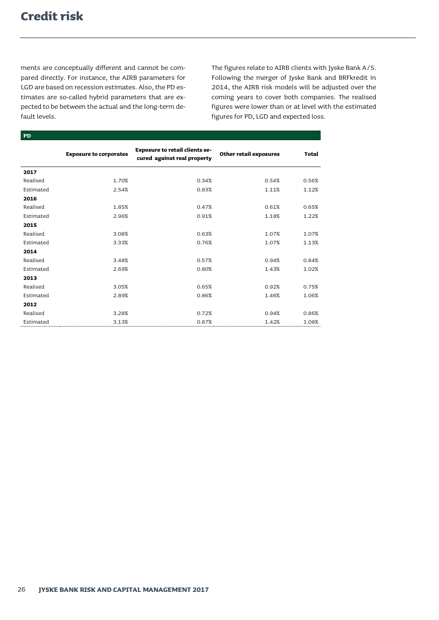ments are conceptually different and cannot be compared directly. For instance, the AIRB parameters for LGD are based on recession estimates. Also, the PD estimates are so-called hybrid parameters that are expected to be between the actual and the long-term default levels.

The figures relate to AIRB clients with Jyske Bank A/S. Following the merger of Jyske Bank and BRFkredit in 2014, the AIRB risk models will be adjusted over the coming years to cover both companies. The realised figures were lower than or at level with the estimated figures for PD, LGD and expected loss.

**PD** 

|           | <b>Exposure to corporates</b> | <b>Exposure to retail clients se-</b><br>cured against real property | Other retail exposures | <b>Total</b> |
|-----------|-------------------------------|----------------------------------------------------------------------|------------------------|--------------|
| 2017      |                               |                                                                      |                        |              |
| Realised  | 1.70%                         | 0.34%                                                                | 0.54%                  | 0.56%        |
| Estimated | 2.54%                         | 0.83%                                                                | 1.11%                  | 1.12%        |
| 2016      |                               |                                                                      |                        |              |
| Realised  | 1.85%                         | 0.47%                                                                | 0.61%                  | 0.65%        |
| Estimated | 2.96%                         | 0.91%                                                                | 1.18%                  | 1.22%        |
| 2015      |                               |                                                                      |                        |              |
| Realised  | 3.08%                         | 0.63%                                                                | 1.07%                  | 1.07%        |
| Estimated | 3.33%                         | 0.76%                                                                | 1.07%                  | 1.13%        |
| 2014      |                               |                                                                      |                        |              |
| Realised  | 3.48%                         | 0.57%                                                                | 0.94%                  | 0.84%        |
| Estimated | 2.69%                         | 0.80%                                                                | 1.43%                  | 1.02%        |
| 2013      |                               |                                                                      |                        |              |
| Realised  | 3.05%                         | 0.65%                                                                | 0.92%                  | 0.75%        |
| Estimated | 2.89%                         | 0.86%                                                                | 1.46%                  | 1.06%        |
| 2012      |                               |                                                                      |                        |              |
| Realised  | 3.28%                         | 0.72%                                                                | 0.94%                  | 0.86%        |
| Estimated | 3.13%                         | 0.87%                                                                | 1.42%                  | 1.08%        |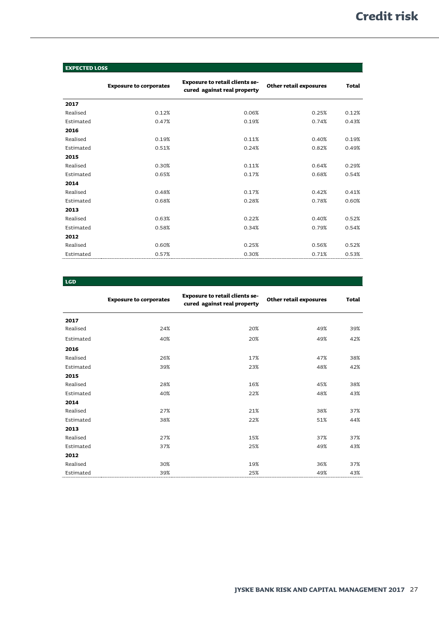#### **EXPECTED LOSS**

|           | <b>Exposure to corporates</b> | <b>Exposure to retail clients se-</b><br>cured against real property | Other retail exposures | Total |
|-----------|-------------------------------|----------------------------------------------------------------------|------------------------|-------|
| 2017      |                               |                                                                      |                        |       |
| Realised  | 0.12%                         | 0.06%                                                                | 0.25%                  | 0.12% |
| Estimated | 0.47%                         | 0.19%                                                                | 0.74%                  | 0.43% |
| 2016      |                               |                                                                      |                        |       |
| Realised  | 0.19%                         | 0.11%                                                                | 0.40%                  | 0.19% |
| Estimated | 0.51%                         | 0.24%                                                                | 0.82%                  | 0.49% |
| 2015      |                               |                                                                      |                        |       |
| Realised  | 0.30%                         | 0.11%                                                                | 0.64%                  | 0.29% |
| Estimated | 0.65%                         | 0.17%                                                                | 0.68%                  | 0.54% |
| 2014      |                               |                                                                      |                        |       |
| Realised  | 0.48%                         | 0.17%                                                                | 0.42%                  | 0.41% |
| Estimated | 0.68%                         | 0.28%                                                                | 0.78%                  | 0.60% |
| 2013      |                               |                                                                      |                        |       |
| Realised  | 0.63%                         | 0.22%                                                                | 0.40%                  | 0.52% |
| Estimated | 0.58%                         | 0.34%                                                                | 0.79%                  | 0.54% |
| 2012      |                               |                                                                      |                        |       |
| Realised  | 0.60%                         | 0.25%                                                                | 0.56%                  | 0.52% |
| Estimated | 0.57%                         | 0.30%                                                                | 0.71%                  | 0.53% |

#### **LGD**

|           | <b>Exposure to corporates</b> | <b>Exposure to retail clients se-</b><br>cured against real property | Other retail exposures | Total |
|-----------|-------------------------------|----------------------------------------------------------------------|------------------------|-------|
| 2017      |                               |                                                                      |                        |       |
| Realised  | 24%                           | 20%                                                                  | 49%                    | 39%   |
| Estimated | 40%                           | 20%                                                                  | 49%                    | 42%   |
| 2016      |                               |                                                                      |                        |       |
| Realised  | 26%                           | 17%                                                                  | 47%                    | 38%   |
| Estimated | 39%                           | 23%                                                                  | 48%                    | 42%   |
| 2015      |                               |                                                                      |                        |       |
| Realised  | 28%                           | 16%                                                                  | 45%                    | 38%   |
| Estimated | 40%                           | 22%                                                                  | 48%                    | 43%   |
| 2014      |                               |                                                                      |                        |       |
| Realised  | 27%                           | 21%                                                                  | 38%                    | 37%   |
| Estimated | 38%                           | 22%                                                                  | 51%                    | 44%   |
| 2013      |                               |                                                                      |                        |       |
| Realised  | 27%                           | 15%                                                                  | 37%                    | 37%   |
| Estimated | 37%                           | 25%                                                                  | 49%                    | 43%   |
| 2012      |                               |                                                                      |                        |       |
| Realised  | 30%                           | 19%                                                                  | 36%                    | 37%   |
| Estimated | 39%                           | 25%                                                                  | 49%                    | 43%   |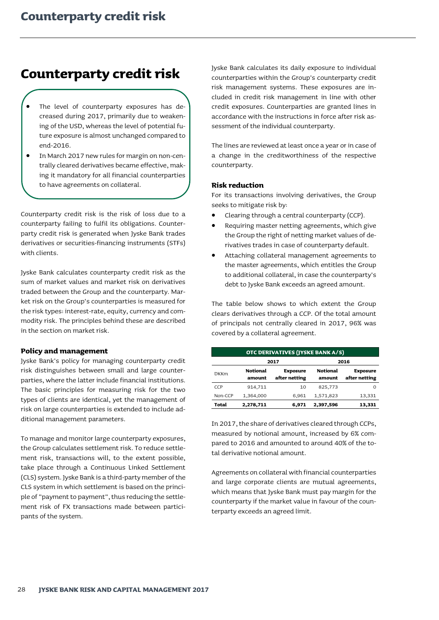### <span id="page-29-0"></span>**Counterparty credit risk**

- The level of counterparty exposures has decreased during 2017, primarily due to weakening of the USD, whereas the level of potential future exposure is almost unchanged compared to end-2016.
- In March 2017 new rules for margin on non-centrally cleared derivatives became effective, making it mandatory for all financial counterparties to have agreements on collateral.

Counterparty credit risk is the risk of loss due to a counterparty failing to fulfil its obligations. Counterparty credit risk is generated when Jyske Bank trades derivatives or securities-financing instruments (STFs) with clients.

Jyske Bank calculates counterparty credit risk as the sum of market values and market risk on derivatives traded between the Group and the counterparty. Market risk on the Group's counterparties is measured for the risk types: interest-rate, equity, currency and commodity risk. The principles behind these are described in the section on market risk.

#### **Policy and management**

Jyske Bank's policy for managing counterparty credit risk distinguishes between small and large counterparties, where the latter include financial institutions. The basic principles for measuring risk for the two types of clients are identical, yet the management of risk on large counterparties is extended to include additional management parameters.

To manage and monitor large counterparty exposures, the Group calculates settlement risk. To reduce settlement risk, transactions will, to the extent possible, take place through a Continuous Linked Settlement (CLS) system. Jyske Bank is a third-party member of the CLS system in which settlement is based on the principle of "payment to payment", thus reducing the settlement risk of FX transactions made between participants of the system.

Jyske Bank calculates its daily exposure to individual counterparties within the Group's counterparty credit risk management systems. These exposures are included in credit risk management in line with other credit exposures. Counterparties are granted lines in accordance with the instructions in force after risk assessment of the individual counterparty.

The lines are reviewed at least once a year or in case of a change in the creditworthiness of the respective counterparty.

#### **Risk reduction**

For its transactions involving derivatives, the Group seeks to mitigate risk by:

- Clearing through a central counterparty (CCP).
- Requiring master netting agreements, which give the Group the right of netting market values of derivatives trades in case of counterparty default.
- Attaching collateral management agreements to the master agreements, which entitles the Group to additional collateral, in case the counterparty's debt to Jyske Bank exceeds an agreed amount.

The table below shows to which extent the Group clears derivatives through a CCP. Of the total amount of principals not centrally cleared in 2017, 96% was covered by a collateral agreement.

| OTC DERIVATIVES (JYSKE BANK A/S) |                           |                                  |                           |                                  |  |
|----------------------------------|---------------------------|----------------------------------|---------------------------|----------------------------------|--|
|                                  | 2016<br>2017              |                                  |                           |                                  |  |
| <b>DKKm</b>                      | <b>Notional</b><br>amount | <b>Exposure</b><br>after netting | <b>Notional</b><br>amount | <b>Exposure</b><br>after netting |  |
| CCP                              | 914,711                   | 10                               | 825,773                   | Ω                                |  |
| Non-CCP                          | 1,364,000                 | 6.961                            | 1,571,823                 | 13,331                           |  |
| Total                            | 2,278,711                 | 6.971                            | 2.397.596                 | 13,331                           |  |

In 2017, the share of derivatives cleared through CCPs, measured by notional amount, increased by 6% compared to 2016 and amounted to around 40% of the total derivative notional amount.

Agreements on collateral with financial counterparties and large corporate clients are mutual agreements, which means that Jyske Bank must pay margin for the counterparty if the market value in favour of the counterparty exceeds an agreed limit.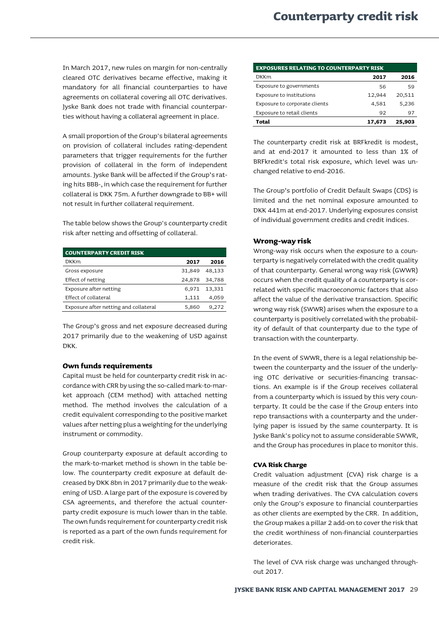In March 2017, new rules on margin for non-centrally cleared OTC derivatives became effective, making it mandatory for all financial counterparties to have agreements on collateral covering all OTC derivatives. Jyske Bank does not trade with financial counterparties without having a collateral agreement in place.

A small proportion of the Group's bilateral agreements on provision of collateral includes rating-dependent parameters that trigger requirements for the further provision of collateral in the form of independent amounts. Jyske Bank will be affected if the Group's rating hits BBB-, in which case the requirement for further collateral is DKK 75m. A further downgrade to BB+ will not result in further collateral requirement.

The table below shows the Group's counterparty credit risk after netting and offsetting of collateral.

| 2017   | 2016   |
|--------|--------|
| 31,849 | 48,133 |
| 24,878 | 34,788 |
| 6,971  | 13,331 |
| 1,111  | 4,059  |
| 5,860  | 9,272  |
|        |        |

The Group's gross and net exposure decreased during 2017 primarily due to the weakening of USD against DKK.

#### **Own funds requirements**

Capital must be held for counterparty credit risk in accordance with CRR by using the so-called mark-to-market approach (CEM method) with attached netting method. The method involves the calculation of a credit equivalent corresponding to the positive market values after netting plus a weighting for the underlying instrument or commodity.

Group counterparty exposure at default according to the mark-to-market method is shown in the table below. The counterparty credit exposure at default decreased by DKK 8bn in 2017 primarily due to the weakening of USD. A large part of the exposure is covered by CSA agreements, and therefore the actual counterparty credit exposure is much lower than in the table. The own funds requirement for counterparty credit risk is reported as a part of the own funds requirement for credit risk.

| <b>EXPOSURES RELATING TO COUNTERPARTY RISK</b> |        |        |  |  |
|------------------------------------------------|--------|--------|--|--|
| <b>DKKm</b>                                    | 2017   | 2016   |  |  |
| Exposure to governments                        | 56     | 59     |  |  |
| Exposure to institutions                       | 12,944 | 20,511 |  |  |
| Exposure to corporate clients                  | 4,581  | 5,236  |  |  |
| Exposure to retail clients                     | 92     | 97     |  |  |
| Total                                          | 17,673 | 25,903 |  |  |

The counterparty credit risk at BRFkredit is modest, and at end-2017 it amounted to less than 1% of BRFkredit's total risk exposure, which level was unchanged relative to end-2016.

The Group's portfolio of Credit Default Swaps (CDS) is limited and the net nominal exposure amounted to DKK 441m at end-2017. Underlying exposures consist of individual government credits and credit indices.

#### **Wrong-way risk**

Wrong-way risk occurs when the exposure to a counterparty is negatively correlated with the credit quality of that counterparty. General wrong way risk (GWWR) occurs when the credit quality of a counterparty is correlated with specific macroeconomic factors that also affect the value of the derivative transaction. Specific wrong way risk (SWWR) arises when the exposure to a counterparty is positively correlated with the probability of default of that counterparty due to the type of transaction with the counterparty.

In the event of SWWR, there is a legal relationship between the counterparty and the issuer of the underlying OTC derivative or securities-financing transactions. An example is if the Group receives collateral from a counterparty which is issued by this very counterparty. It could be the case if the Group enters into repo transactions with a counterparty and the underlying paper is issued by the same counterparty. It is Jyske Bank's policy not to assume considerable SWWR, and the Group has procedures in place to monitor this.

#### **CVA Risk Charge**

Credit valuation adjustment (CVA) risk charge is a measure of the credit risk that the Group assumes when trading derivatives. The CVA calculation covers only the Group's exposure to financial counterparties as other clients are exempted by the CRR. In addition, the Group makes a pillar 2 add-on to cover the risk that the credit worthiness of non-financial counterparties deteriorates.

The level of CVA risk charge was unchanged throughout 2017.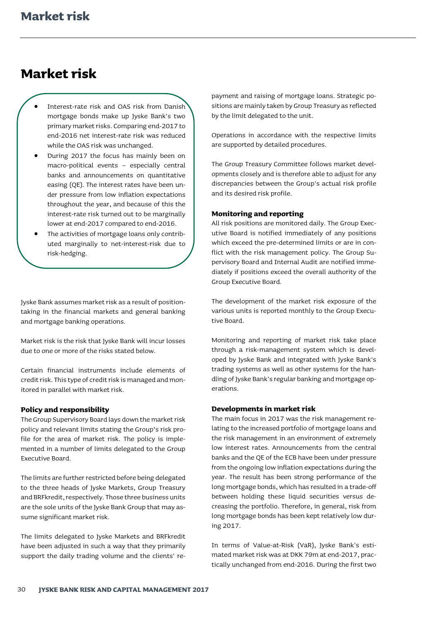### <span id="page-31-0"></span>**Market risk**

- Interest-rate risk and OAS risk from Danish mortgage bonds make up Jyske Bank's two primary market risks. Comparing end-2017 to end-2016 net interest-rate risk was reduced while the OAS risk was unchanged.
- During 2017 the focus has mainly been on macro-political events – especially central banks and announcements on quantitative easing (QE). The interest rates have been under pressure from low inflation expectations throughout the year, and because of this the interest-rate risk turned out to be marginally lower at end-2017 compared to end-2016.
- The activities of mortgage loans only contributed marginally to net-interest-risk due to risk-hedging.

Jyske Bank assumes market risk as a result of positiontaking in the financial markets and general banking and mortgage banking operations.

Market risk is the risk that Jyske Bank will incur losses due to one or more of the risks stated below.

Certain financial instruments include elements of credit risk. This type of credit risk is managed and monitored in parallel with market risk.

#### **Policy and responsibility**

The Group Supervisory Board lays down the market risk policy and relevant limits stating the Group's risk profile for the area of market risk. The policy is implemented in a number of limits delegated to the Group Executive Board.

The limits are further restricted before being delegated to the three heads of Jyske Markets, Group Treasury and BRFkredit, respectively. Those three business units are the sole units of the Jyske Bank Group that may assume significant market risk.

The limits delegated to Jyske Markets and BRFkredit have been adjusted in such a way that they primarily support the daily trading volume and the clients' repayment and raising of mortgage loans. Strategic positions are mainly taken by Group Treasury as reflected by the limit delegated to the unit.

Operations in accordance with the respective limits are supported by detailed procedures.

The Group Treasury Committee follows market developments closely and is therefore able to adjust for any discrepancies between the Group's actual risk profile and its desired risk profile.

#### **Monitoring and reporting**

All risk positions are monitored daily. The Group Executive Board is notified immediately of any positions which exceed the pre-determined limits or are in conflict with the risk management policy. The Group Supervisory Board and Internal Audit are notified immediately if positions exceed the overall authority of the Group Executive Board.

The development of the market risk exposure of the various units is reported monthly to the Group Executive Board.

Monitoring and reporting of market risk take place through a risk-management system which is developed by Jyske Bank and integrated with Jyske Bank's trading systems as well as other systems for the handling of Jyske Bank's regular banking and mortgage operations.

#### **Developments in market risk**

The main focus in 2017 was the risk management relating to the increased portfolio of mortgage loans and the risk management in an environment of extremely low interest rates. Announcements from the central banks and the QE of the ECB have been under pressure from the ongoing low inflation expectations during the year. The result has been strong performance of the long mortgage bonds, which has resulted in a trade-off between holding these liquid securities versus decreasing the portfolio. Therefore, in general, risk from long mortgage bonds has been kept relatively low during 2017.

In terms of Value-at-Risk (VaR), Jyske Bank's estimated market risk was at DKK 79m at end-2017, practically unchanged from end-2016. During the first two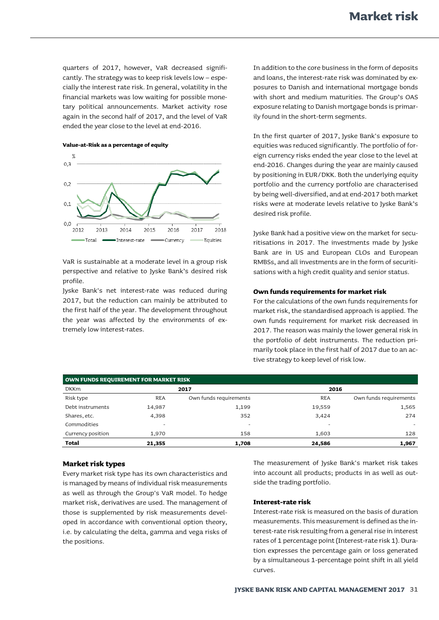quarters of 2017, however, VaR decreased significantly. The strategy was to keep risk levels low – especially the interest rate risk. In general, volatility in the financial markets was low waiting for possible monetary political announcements. Market activity rose again in the second half of 2017, and the level of VaR ended the year close to the level at end-2016.



VaR is sustainable at a moderate level in a group risk perspective and relative to Jyske Bank's desired risk profile.

Jyske Bank's net interest-rate was reduced during 2017, but the reduction can mainly be attributed to the first half of the year. The development throughout the year was affected by the environments of extremely low interest-rates.

In addition to the core business in the form of deposits and loans, the interest-rate risk was dominated by exposures to Danish and international mortgage bonds with short and medium maturities. The Group's OAS exposure relating to Danish mortgage bonds is primarily found in the short-term segments.

In the first quarter of 2017, Jyske Bank's exposure to equities was reduced significantly. The portfolio of foreign currency risks ended the year close to the level at end-2016. Changes during the year are mainly caused by positioning in EUR/DKK. Both the underlying equity portfolio and the currency portfolio are characterised by being well-diversified, and at end-2017 both market risks were at moderate levels relative to Jyske Bank's desired risk profile.

Jyske Bank had a positive view on the market for securitisations in 2017. The investments made by Jyske Bank are in US and European CLOs and European RMBSs, and all investments are in the form of securitisations with a high credit quality and senior status.

#### **Own funds requirements for market risk**

For the calculations of the own funds requirements for market risk, the standardised approach is applied. The own funds requirement for market risk decreased in 2017. The reason was mainly the lower general risk in the portfolio of debt instruments. The reduction primarily took place in the first half of 2017 due to an active strategy to keep level of risk low.

| OWN FUNDS REQUIREMENT FOR MARKET RISK |                          |                          |                          |                          |  |  |  |
|---------------------------------------|--------------------------|--------------------------|--------------------------|--------------------------|--|--|--|
| <b>DKKm</b>                           |                          | 2017                     | 2016                     |                          |  |  |  |
| Risk type                             | <b>REA</b>               | Own funds requirements   | <b>REA</b>               | Own funds requirements   |  |  |  |
| Debt instruments                      | 14,987                   | 1,199                    | 19,559                   | 1,565                    |  |  |  |
| Shares, etc.                          | 4,398                    | 352                      | 3,424                    | 274                      |  |  |  |
| Commodities                           | $\overline{\phantom{a}}$ | $\overline{\phantom{a}}$ | $\overline{\phantom{a}}$ | $\overline{\phantom{a}}$ |  |  |  |
| Currency position                     | 1,970                    | 158                      | 1,603                    | 128                      |  |  |  |
| <b>Total</b>                          | 21,355                   | 1,708                    | 24,586                   | 1,967                    |  |  |  |

#### **Market risk types**

Every market risk type has its own characteristics and is managed by means of individual risk measurements as well as through the Group's VaR model. To hedge market risk, derivatives are used. The management of those is supplemented by risk measurements developed in accordance with conventional option theory, i.e. by calculating the delta, gamma and vega risks of the positions.

The measurement of Jyske Bank's market risk takes into account all products; products in as well as outside the trading portfolio.

#### **Interest-rate risk**

Interest-rate risk is measured on the basis of duration measurements. This measurement is defined as the interest-rate risk resulting from a general rise in interest rates of 1 percentage point (Interest-rate risk 1). Duration expresses the percentage gain or loss generated by a simultaneous 1-percentage point shift in all yield curves.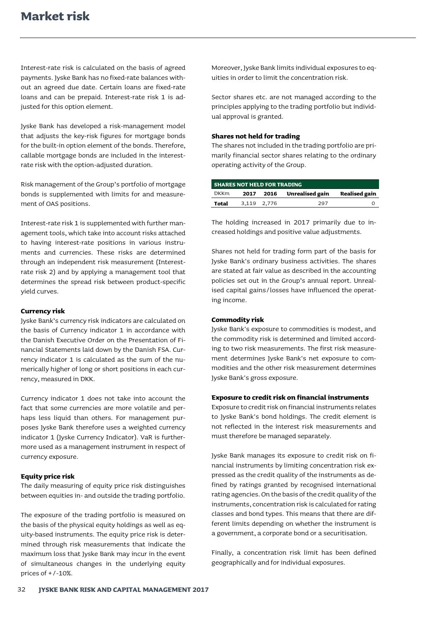Interest-rate risk is calculated on the basis of agreed payments. Jyske Bank has no fixed-rate balances without an agreed due date. Certain loans are fixed-rate loans and can be prepaid. Interest-rate risk 1 is adjusted for this option element.

Jyske Bank has developed a risk-management model that adjusts the key-risk figures for mortgage bonds for the built-in option element of the bonds. Therefore, callable mortgage bonds are included in the interestrate risk with the option-adjusted duration.

Risk management of the Group's portfolio of mortgage bonds is supplemented with limits for and measurement of OAS positions.

Interest-rate risk 1 is supplemented with further management tools, which take into account risks attached to having interest-rate positions in various instruments and currencies. These risks are determined through an independent risk measurement (Interestrate risk 2) and by applying a management tool that determines the spread risk between product-specific yield curves.

#### **Currency risk**

Jyske Bank's currency risk indicators are calculated on the basis of Currency indicator 1 in accordance with the Danish Executive Order on the Presentation of Financial Statements laid down by the Danish FSA. Currency indicator 1 is calculated as the sum of the numerically higher of long or short positions in each currency, measured in DKK.

Currency indicator 1 does not take into account the fact that some currencies are more volatile and perhaps less liquid than others. For management purposes Jyske Bank therefore uses a weighted currency indicator 1 (Jyske Currency Indicator). VaR is furthermore used as a management instrument in respect of currency exposure.

#### **Equity price risk**

The daily measuring of equity price risk distinguishes between equities in- and outside the trading portfolio.

The exposure of the trading portfolio is measured on the basis of the physical equity holdings as well as equity-based instruments. The equity price risk is determined through risk measurements that indicate the maximum loss that Jyske Bank may incur in the event of simultaneous changes in the underlying equity prices of +/-10%.

Moreover, Jyske Bank limits individual exposures to equities in order to limit the concentration risk.

Sector shares etc. are not managed according to the principles applying to the trading portfolio but individual approval is granted.

#### **Shares not held for trading**

The shares not included in the trading portfolio are primarily financial sector shares relating to the ordinary operating activity of the Group.

| <b>SHARES NOT HELD FOR TRADING</b> |      |             |                 |                      |  |  |
|------------------------------------|------|-------------|-----------------|----------------------|--|--|
| <b>DKKm</b>                        | 2017 | 2016        | Unrealised gain | <b>Realised gain</b> |  |  |
| Total                              |      | 3.119 2.776 | 297             |                      |  |  |

The holding increased in 2017 primarily due to increased holdings and positive value adjustments.

Shares not held for trading form part of the basis for Jyske Bank's ordinary business activities. The shares are stated at fair value as described in the accounting policies set out in the Group's annual report. Unrealised capital gains/losses have influenced the operating income.

#### **Commodity risk**

Jyske Bank's exposure to commodities is modest, and the commodity risk is determined and limited according to two risk measurements. The first risk measurement determines Jyske Bank's net exposure to commodities and the other risk measurement determines Jyske Bank's gross exposure.

#### **Exposure to credit risk on financial instruments**

Exposure to credit risk on financial instruments relates to Jyske Bank's bond holdings. The credit element is not reflected in the interest risk measurements and must therefore be managed separately.

Jyske Bank manages its exposure to credit risk on financial instruments by limiting concentration risk expressed as the credit quality of the instruments as defined by ratings granted by recognised international rating agencies. On the basis of the credit quality of the instruments, concentration risk is calculated for rating classes and bond types. This means that there are different limits depending on whether the instrument is a government, a corporate bond or a securitisation.

Finally, a concentration risk limit has been defined geographically and for individual exposures.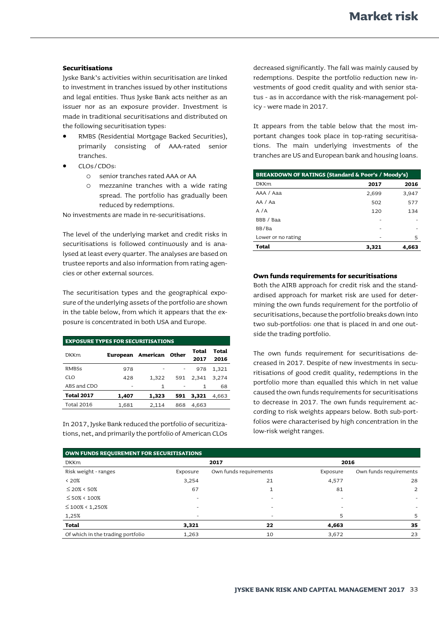#### **Securitisations**

Jyske Bank's activities within securitisation are linked to investment in tranches issued by other institutions and legal entities. Thus Jyske Bank acts neither as an issuer nor as an exposure provider. Investment is made in traditional securitisations and distributed on the following securitisation types:

- RMBS (Residential Mortgage Backed Securities), primarily consisting of AAA-rated senior tranches.
- CLOs/CDOs:
	- o senior tranches rated AAA or AA
	- o mezzanine tranches with a wide rating spread. The portfolio has gradually been reduced by redemptions.

No investments are made in re-securitisations.

The level of the underlying market and credit risks in securitisations is followed continuously and is analysed at least every quarter. The analyses are based on trustee reports and also information from rating agencies or other external sources.

The securitisation types and the geographical exposure of the underlying assets of the portfolio are shown in the table below, from which it appears that the exposure is concentrated in both USA and Europe.

| <b>EXPOSURE TYPES FOR SECURITISATIONS</b> |                 |                |     |               |               |  |  |  |
|-------------------------------------------|-----------------|----------------|-----|---------------|---------------|--|--|--|
| <b>DKKm</b>                               | <b>European</b> | American Other |     | Total<br>2017 | Total<br>2016 |  |  |  |
| <b>RMBSs</b>                              | 978             |                |     | 978           | 1,321         |  |  |  |
| CI O                                      | 428             | 1.322          | 591 | 2.341         | 3.274         |  |  |  |
| ABS and CDO                               | -               | 1              |     | 1             | 68            |  |  |  |
| <b>Total 2017</b>                         | 1,407           | 1,323          | 591 | 3,321         | 4,663         |  |  |  |
| <b>Total 2016</b>                         | 1,681           | 2,114          | 868 | 4,663         |               |  |  |  |

In 2017, Jyske Bank reduced the portfolio of securitizations, net, and primarily the portfolio of American CLOs decreased significantly. The fall was mainly caused by redemptions. Despite the portfolio reduction new investments of good credit quality and with senior status - as in accordance with the risk-management policy - were made in 2017.

It appears from the table below that the most important changes took place in top-rating securitisations. The main underlying investments of the tranches are US and European bank and housing loans.

| BREAKDOWN OF RATINGS (Standard & Poor's / Moody's) |       |       |  |  |
|----------------------------------------------------|-------|-------|--|--|
| <b>DKKm</b>                                        | 2017  | 2016  |  |  |
| AAA / Aaa                                          | 2,699 | 3,947 |  |  |
| AA / Aa                                            | 502   | 577   |  |  |
| A/A                                                | 120   | 134   |  |  |
| BBB / Baa                                          |       |       |  |  |
| BB/Ba                                              |       |       |  |  |
| Lower or no rating                                 |       | 5     |  |  |
| Total                                              | 3,321 | 4.663 |  |  |

#### **Own funds requirements for securitisations**

Both the AIRB approach for credit risk and the standardised approach for market risk are used for determining the own funds requirement for the portfolio of securitisations, because the portfolio breaks down into two sub-portfolios: one that is placed in and one outside the trading portfolio.

The own funds requirement for securitisations decreased in 2017. Despite of new investments in securitisations of good credit quality, redemptions in the portfolio more than equalled this which in net value caused the own funds requirements for securitisations to decrease in 2017. The own funds requirement according to risk weights appears below. Both sub-portfolios were characterised by high concentration in the low-risk weight ranges.

| OWN FUNDS REQUIREMENT FOR SECURITISATIONS |                          |                        |          |                        |  |  |  |
|-------------------------------------------|--------------------------|------------------------|----------|------------------------|--|--|--|
| <b>DKKm</b>                               |                          | 2017                   | 2016     |                        |  |  |  |
| Risk weight - ranges                      | Exposure                 | Own funds requirements | Exposure | Own funds requirements |  |  |  |
| $<$ 20%                                   | 3,254                    | 21                     | 4,577    | 28                     |  |  |  |
| $\leq$ 20% < 50%                          | 67                       |                        | 81       | $\overline{2}$         |  |  |  |
| $\leq$ 50% < 100%                         | ۰                        |                        | ٠        |                        |  |  |  |
| $\leq$ 100% < 1,250%                      | $\overline{\phantom{a}}$ | -                      | ۰        |                        |  |  |  |
| 1,25%                                     | $\overline{\phantom{a}}$ | -                      | 5        | 5                      |  |  |  |
| <b>Total</b>                              | 3,321                    | 22                     | 4,663    | 35                     |  |  |  |
| Of which in the trading portfolio         | 1,263                    | 10                     | 3,672    | 23                     |  |  |  |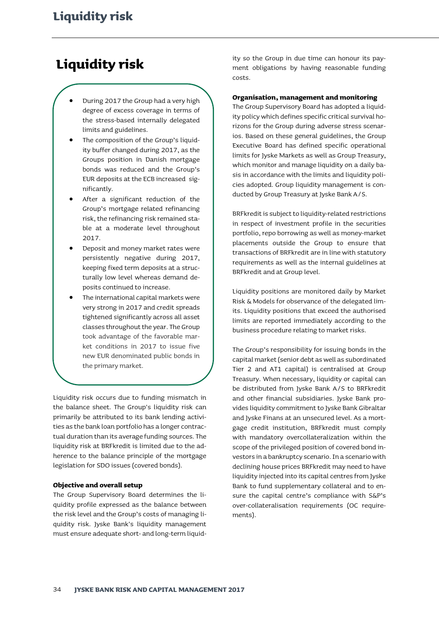## <span id="page-35-0"></span>**Liquidity risk**

- During 2017 the Group had a very high degree of excess coverage in terms of the stress-based internally delegated limits and guidelines.
- The composition of the Group's liquidity buffer changed during 2017, as the Groups position in Danish mortgage bonds was reduced and the Group's EUR deposits at the ECB increased significantly.
- After a significant reduction of the Group's mortgage related refinancing risk, the refinancing risk remained stable at a moderate level throughout 2017.
- Deposit and money market rates were persistently negative during 2017, keeping fixed term deposits at a structurally low level whereas demand deposits continued to increase.
- The international capital markets were very strong in 2017 and credit spreads tightened significantly across all asset classes throughout the year. The Group took advantage of the favorable market conditions in 2017 to issue five new EUR denominated public bonds in the primary market.

Liquidity risk occurs due to funding mismatch in the balance sheet. The Group's liquidity risk can primarily be attributed to its bank lending activities as the bank loan portfolio has a longer contractual duration than its average funding sources. The liquidity risk at BRFkredit is limited due to the adherence to the balance principle of the mortgage legislation for SDO issues (covered bonds).

#### **Objective and overall setup**

The Group Supervisory Board determines the liquidity profile expressed as the balance between the risk level and the Group's costs of managing liquidity risk. Jyske Bank's liquidity management must ensure adequate short- and long-term liquidity so the Group in due time can honour its payment obligations by having reasonable funding costs.

#### **Organisation, management and monitoring**

The Group Supervisory Board has adopted a liquidity policy which defines specific critical survival horizons for the Group during adverse stress scenarios. Based on these general guidelines, the Group Executive Board has defined specific operational limits for Jyske Markets as well as Group Treasury, which monitor and manage liquidity on a daily basis in accordance with the limits and liquidity policies adopted. Group liquidity management is conducted by Group Treasury at Jyske Bank A/S.

BRFkredit is subject to liquidity-related restrictions in respect of investment profile in the securities portfolio, repo borrowing as well as money-market placements outside the Group to ensure that transactions of BRFkredit are in line with statutory requirements as well as the internal guidelines at BRFkredit and at Group level.

Liquidity positions are monitored daily by Market Risk & Models for observance of the delegated limits. Liquidity positions that exceed the authorised limits are reported immediately according to the business procedure relating to market risks.

The Group's responsibility for issuing bonds in the capital market (senior debt as well as subordinated Tier 2 and AT1 capital) is centralised at Group Treasury. When necessary, liquidity or capital can be distributed from Jyske Bank A/S to BRFkredit and other financial subsidiaries. Jyske Bank provides liquidity commitment to Jyske Bank Gibraltar and Jyske Finans at an unsecured level. As a mortgage credit institution, BRFkredit must comply with mandatory overcollateralization within the scope of the privileged position of covered bond investors in a bankruptcy scenario. In a scenario with declining house prices BRFkredit may need to have liquidity injected into its capital centres from Jyske Bank to fund supplementary collateral and to ensure the capital centre's compliance with S&P's over-collateralisation requirements (OC requirements).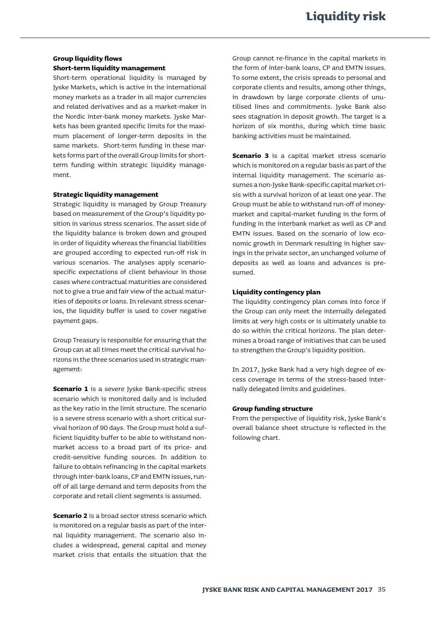#### **Group liquidity flows Short-term liquidity management**

Short-term operational liquidity is managed by Jyske Markets, which is active in the international money markets as a trader in all major currencies and related derivatives and as a market-maker in the Nordic inter-bank money markets. Jyske Markets has been granted specific limits for the maximum placement of longer-term deposits in the same markets. Short-term funding in these markets forms part of the overall Group limits for shortterm funding within strategic liquidity management.

#### **Strategic liquidity management**

Strategic liquidity is managed by Group Treasury based on measurement of the Group's liquidity position in various stress scenarios. The asset side of the liquidity balance is broken down and grouped in order of liquidity whereas the financial liabilities are grouped according to expected run-off risk in various scenarios. The analyses apply scenariospecific expectations of client behaviour in those cases where contractual maturities are considered not to give a true and fair view of the actual maturities of deposits or loans. In relevant stress scenarios, the liquidity buffer is used to cover negative payment gaps.

Group Treasury is responsible for ensuring that the Group can at all times meet the critical survival horizons in the three scenarios used in strategic management:

**Scenario 1** is a severe Jyske Bank-specific stress scenario which is monitored daily and is included as the key ratio in the limit structure. The scenario is a severe stress scenario with a short critical survival horizon of 90 days. The Group must hold a sufficient liquidity buffer to be able to withstand nonmarket access to a broad part of its price- and credit-sensitive funding sources. In addition to failure to obtain refinancing in the capital markets through inter-bank loans, CP and EMTN issues, runoff of all large demand and term deposits from the corporate and retail client segments is assumed.

**Scenario 2** is a broad sector stress scenario which is monitored on a regular basis as part of the internal liquidity management. The scenario also includes a widespread, general capital and money market crisis that entails the situation that the

Group cannot re-finance in the capital markets in the form of inter-bank loans, CP and EMTN issues. To some extent, the crisis spreads to personal and corporate clients and results, among other things, in drawdown by large corporate clients of unutilised lines and commitments. Jyske Bank also sees stagnation in deposit growth. The target is a horizon of six months, during which time basic banking activities must be maintained.

**Scenario 3** is a capital market stress scenario which is monitored on a regular basis as part of the internal liquidity management. The scenario assumes a non-Jyske Bank-specific capital market crisis with a survival horizon of at least one year. The Group must be able to withstand run-off of moneymarket and capital-market funding in the form of funding in the interbank market as well as CP and EMTN issues. Based on the scenario of low economic growth in Denmark resulting in higher savings in the private sector, an unchanged volume of deposits as well as loans and advances is presumed.

#### **Liquidity contingency plan**

The liquidity contingency plan comes into force if the Group can only meet the internally delegated limits at very high costs or is ultimately unable to do so within the critical horizons. The plan determines a broad range of initiatives that can be used to strengthen the Group's liquidity position.

In 2017, Jyske Bank had a very high degree of excess coverage in terms of the stress-based internally delegated limits and guidelines.

#### **Group funding structure**

From the perspective of liquidity risk, Jyske Bank's overall balance sheet structure is reflected in the following chart.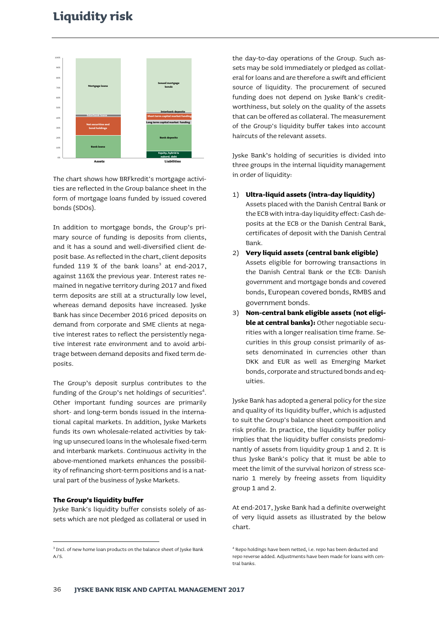### **Liquidity risk**



The chart shows how BRFkredit's mortgage activities are reflected in the Group balance sheet in the form of mortgage loans funded by issued covered bonds (SDOs).

In addition to mortgage bonds, the Group's primary source of funding is deposits from clients, and it has a sound and well-diversified client deposit base. As reflected in the chart, client deposits funded 119 % of the bank loans<sup>3</sup> at end-2017, against 116% the previous year. Interest rates remained in negative territory during 2017 and fixed term deposits are still at a structurally low level, whereas demand deposits have increased. Jyske Bank has since December 2016 priced deposits on demand from corporate and SME clients at negative interest rates to reflect the persistently negative interest rate environment and to avoid arbitrage between demand deposits and fixed term deposits.

The Group's deposit surplus contributes to the funding of the Group's net holdings of securities $4$ . Other important funding sources are primarily short- and long-term bonds issued in the international capital markets. In addition, Jyske Markets funds its own wholesale-related activities by taking up unsecured loans in the wholesale fixed-term and interbank markets. Continuous activity in the above-mentioned markets enhances the possibility of refinancing short-term positions and is a natural part of the business of Jyske Markets.

#### **The Group's liquidity buffer**

 $\overline{a}$ 

Jyske Bank's liquidity buffer consists solely of assets which are not pledged as collateral or used in the day-to-day operations of the Group. Such assets may be sold immediately or pledged as collateral for loans and are therefore a swift and efficient source of liquidity. The procurement of secured funding does not depend on Jyske Bank's creditworthiness, but solely on the quality of the assets that can be offered as collateral. The measurement of the Group's liquidity buffer takes into account haircuts of the relevant assets.

Jyske Bank's holding of securities is divided into three groups in the internal liquidity management in order of liquidity:

- 1) **Ultra-liquid assets (intra-day liquidity)** Assets placed with the Danish Central Bank or the ECB with intra-day liquidity effect: Cash deposits at the ECB or the Danish Central Bank, certificates of deposit with the Danish Central Bank.
- 2) **Very liquid assets (central bank eligible)** Assets eligible for borrowing transactions in the Danish Central Bank or the ECB: Danish government and mortgage bonds and covered bonds, European covered bonds, RMBS and government bonds.
- 3) **Non-central bank eligible assets (not eligible at central banks):** Other negotiable securities with a longer realisation time frame. Securities in this group consist primarily of assets denominated in currencies other than DKK and EUR as well as Emerging Market bonds, corporate and structured bonds and equities.

Jyske Bank has adopted a general policy for the size and quality of its liquidity buffer, which is adjusted to suit the Group's balance sheet composition and risk profile. In practice, the liquidity buffer policy implies that the liquidity buffer consists predominantly of assets from liquidity group 1 and 2. It is thus Jyske Bank's policy that it must be able to meet the limit of the survival horizon of stress scenario 1 merely by freeing assets from liquidity group 1 and 2.

At end-2017, Jyske Bank had a definite overweight of very liquid assets as illustrated by the below chart.

<sup>&</sup>lt;sup>3</sup> Incl. of new home loan products on the balance sheet of Jyske Bank A/S.

<sup>4</sup> Repo holdings have been netted, i.e. repo has been deducted and repo reverse added. Adjustments have been made for loans with central banks.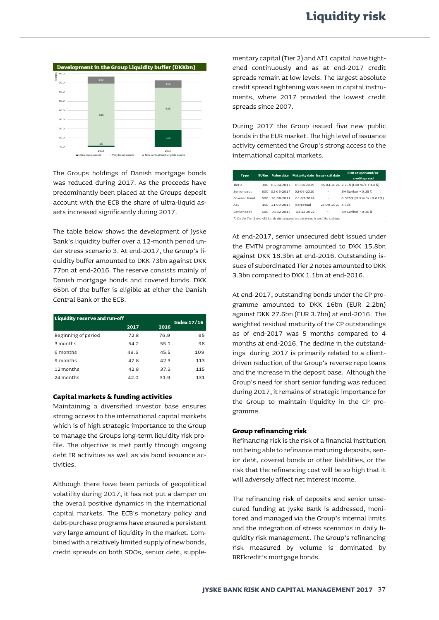

The Groups holdings of Danish mortgage bonds was reduced during 2017. As the proceeds have predominantly been placed at the Groups deposit account with the ECB the share of ultra-liquid assets increased significantly during 2017.

The table below shows the development of Jyske Bank's liquidity buffer over a 12-month period under stress scenario 3. At end-2017, the Group's liquidity buffer amounted to DKK 73bn against DKK 77bn at end-2016. The reserve consists mainly of Danish mortgage bonds and covered bonds. DKK 65bn of the buffer is eligible at either the Danish Central Bank or the ECB.

| Liquidity reserve and run-off |      |      | Index $\overline{17/16}$ |
|-------------------------------|------|------|--------------------------|
|                               | 2017 |      |                          |
| Beginning of period           | 72.8 | 76.9 | 95                       |
| 3 months                      | 54.2 | 55.1 | 98                       |
| 6 months                      | 49.6 | 45.5 | 109                      |
| 9 months                      | 47.8 | 42.3 | 113                      |
| 12 months                     | 42.8 | 37.3 | 115                      |
| 24 months                     | 42.0 | 31.9 | 131                      |

#### **Capital markets & funding activities**

Maintaining a diversified investor base ensures strong access to the international capital markets which is of high strategic importance to the Group to manage the Groups long-term liquidity risk profile. The objective is met partly through ongoing debt IR activities as well as via bond issuance activities.

Although there have been periods of geopolitical volatility during 2017, it has not put a damper on the overall positive dynamics in the international capital markets. The ECB's monetary policy and debt-purchase programs have ensured a persistent very large amount of liquidity in the market. Combined with a relatively limited supply of new bonds, credit spreads on both SDOs, senior debt, supplementary capital (Tier 2) and AT1 capital have tightened continuously and as at end-2017 credit spreads remain at low levels. The largest absolute credit spread tightening was seen in capital instruments, where 2017 provided the lowest credit spreads since 2007.

During 2017 the Group issued five new public bonds in the EUR market. The high level of issuance activity cemented the Group's strong access to the international capital markets.

| age bonds                                                                          | Type         |                |            | EURm Value date Maturity date Issuer call date                                 | EUR coupon and/or<br>creditspread                                                                                                                                                                    |
|------------------------------------------------------------------------------------|--------------|----------------|------------|--------------------------------------------------------------------------------|------------------------------------------------------------------------------------------------------------------------------------------------------------------------------------------------------|
| eeds have:                                                                         | Tier 2       | 300 05-04-2017 | 05-04-2029 |                                                                                | 05-04-2024 2.25% (EUR m/s + 1.8%)                                                                                                                                                                    |
| ps deposit.                                                                        | Senior debt  | 500 02-06-2017 | 02-06-2020 |                                                                                | 3M Euribor + 0.35 %                                                                                                                                                                                  |
| a-liquid as-                                                                       | Covered bond | 500 30-08-2017 | 01-07-2024 |                                                                                | 0.375% (EUR m/s +0.02%)                                                                                                                                                                              |
|                                                                                    | AT1          | 150 21-09-2017 | perpetual  | 21-09-2027 4.75%                                                               |                                                                                                                                                                                                      |
|                                                                                    | Senior debt  | 500 01-12-2017 | 01-12-2022 |                                                                                | 3M Euribor + 0.30 %                                                                                                                                                                                  |
|                                                                                    |              |                |            | *) On the Tier 2 and AT1 bonds the coupon/credits pread is until the call date |                                                                                                                                                                                                      |
| nt of Jyske<br>period un-<br>Group's li-<br>gainst DKK<br>s mainly of<br>onds. DKK |              |                |            | 3.3bn compared to DKK 1.1bn at end-2016.                                       | At end-2017, senior unsecured debt issued under<br>the EMTN programme amounted to DKK 15.8bn<br>against DKK 18.3bn at end-2016. Outstanding is-<br>sues of subordinated Tier 2 notes amounted to DKK |
| the Danish                                                                         |              |                |            |                                                                                | At end-2017, outstanding bonds under the CP pro-<br>gramme amounted to DKK 16bn (EUR 2.2bn)                                                                                                          |
|                                                                                    |              |                |            |                                                                                | against DKK 27.6bn (EUR 3.7bn) at end-2016. The                                                                                                                                                      |
| Index 17/16                                                                        |              |                |            |                                                                                | weighted residual maturity of the CP outstandings                                                                                                                                                    |

At end-2017, outstanding bonds under the CP programme amounted to DKK 16bn (EUR 2.2bn) against DKK 27.6bn (EUR 3.7bn) at end-2016. The weighted residual maturity of the CP outstandings as of end-2017 was 5 months compared to 4 months at end-2016. The decline in the outstandings during 2017 is primarily related to a clientdriven reduction of the Group's reverse repo loans and the increase in the deposit base. Although the Group's need for short senior funding was reduced during 2017, it remains of strategic importance for the Group to maintain liquidity in the CP programme.

#### **Group refinancing risk**

Refinancing risk is the risk of a financial institution not being able to refinance maturing deposits, senior debt, covered bonds or other liabilities, or the risk that the refinancing cost will be so high that it will adversely affect net interest income.

The refinancing risk of deposits and senior unsecured funding at Jyske Bank is addressed, monitored and managed via the Group's internal limits and the integration of stress scenarios in daily liquidity risk management. The Group's refinancing risk measured by volume is dominated by BRFkredit's mortgage bonds.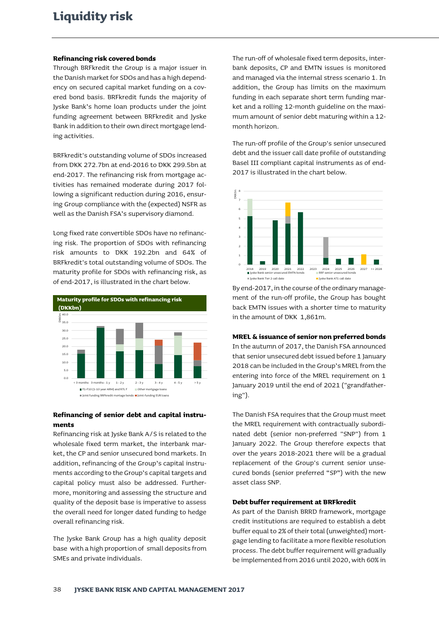### **Liquidity risk**

#### **Refinancing risk covered bonds**

Through BRFkredit the Group is a major issuer in the Danish market for SDOs and has a high dependency on secured capital market funding on a covered bond basis. BRFkredit funds the majority of Jyske Bank's home loan products under the joint funding agreement between BRFkredit and Jyske Bank in addition to their own direct mortgage lending activities.

BRFkredit's outstanding volume of SDOs increased from DKK 272.7bn at end-2016 to DKK 299.5bn at end-2017. The refinancing risk from mortgage activities has remained moderate during 2017 following a significant reduction during 2016, ensuring Group compliance with the (expected) NSFR as well as the Danish FSA's supervisory diamond.

Long fixed rate convertible SDOs have no refinancing risk. The proportion of SDOs with refinancing risk amounts to DKK 192.2bn and 64% of BRFkredit's total outstanding volume of SDOs. The maturity profile for SDOs with refinancing risk, as of end-2017, is illustrated in the chart below.



#### **Refinancing of senior debt and capital instruments**

Refinancing risk at Jyske Bank A/S is related to the wholesale fixed term market, the interbank market, the CP and senior unsecured bond markets. In addition, refinancing of the Group's capital instruments according to the Group's capital targets and capital policy must also be addressed. Furthermore, monitoring and assessing the structure and quality of the deposit base is imperative to assess the overall need for longer dated funding to hedge overall refinancing risk.

The Jyske Bank Group has a high quality deposit base with a high proportion of small deposits from SMEs and private individuals.

The run-off of wholesale fixed term deposits, interbank deposits, CP and EMTN issues is monitored and managed via the internal stress scenario 1. In addition, the Group has limits on the maximum funding in each separate short term funding market and a rolling 12-month guideline on the maximum amount of senior debt maturing within a 12 month horizon.

The run-off profile of the Group's senior unsecured debt and the issuer call date profile of outstanding Basel III compliant capital instruments as of end-2017 is illustrated in the chart below.



By end-2017, in the course of the ordinary management of the run-off profile, the Group has bought back EMTN issues with a shorter time to maturity in the amount of DKK 1,861m.

#### **MREL & issuance of senior non preferred bonds**

In the autumn of 2017, the Danish FSA announced that senior unsecured debt issued before 1 January 2018 can be included in the Group's MREL from the entering into force of the MREL requirement on 1 January 2019 until the end of 2021 ("grandfathering").

The Danish FSA requires that the Group must meet the MREL requirement with contractually subordinated debt (senior non-preferred "SNP") from 1 January 2022. The Group therefore expects that over the years 2018-2021 there will be a gradual replacement of the Group's current senior unsecured bonds (senior preferred "SP") with the new asset class SNP.

#### **Debt buffer requirement at BRFkredit**

As part of the Danish BRRD framework, mortgage credit institutions are required to establish a debt buffer equal to 2% of their total (unweighted) mortgage lending to facilitate a more flexible resolution process. The debt buffer requirement will gradually be implemented from 2016 until 2020, with 60% in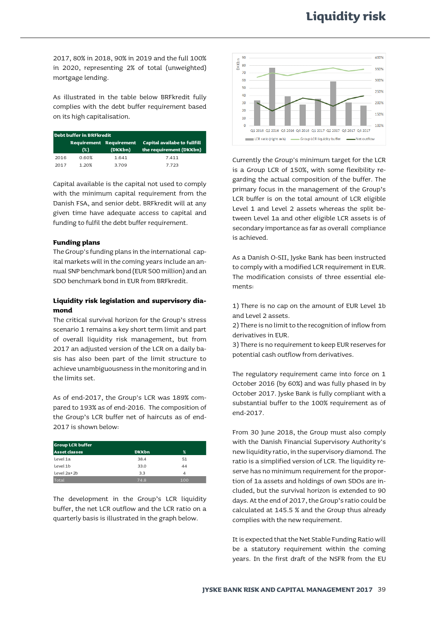### **Liquidity risk**

2017, 80% in 2018, 90% in 2019 and the full 100% in 2020, representing 2% of total (unweighted) mortgage lending.

As illustrated in the table below BRFkredit fully complies with the debt buffer requirement based on its high capitalisation.

| Debt buffer in BRFkredit |       |                                           |                                                                |  |  |  |
|--------------------------|-------|-------------------------------------------|----------------------------------------------------------------|--|--|--|
|                          | (%)   | <b>Requirement</b> Requirement<br>(DKKbn) | <b>Capital availabe to fullfill</b><br>the requirement (DKKbn) |  |  |  |
| 2016                     | 0.60% | 1.641                                     | 7.411                                                          |  |  |  |
| 2017                     | 1.20% | 3.709                                     | 7.723                                                          |  |  |  |

Capital available is the capital not used to comply with the minimum capital requirement from the Danish FSA, and senior debt. BRFkredit will at any given time have adequate access to capital and funding to fulfil the debt buffer requirement.

#### **Funding plans**

The Group's funding plans in the international capital markets will in the coming years include an annual SNP benchmark bond (EUR 500 million) and an SDO benchmark bond in EUR from BRFkredit.

#### **Liquidity risk legislation and supervisory diamond**

The critical survival horizon for the Group's stress scenario 1 remains a key short term limit and part of overall liquidity risk management, but from 2017 an adjusted version of the LCR on a daily basis has also been part of the limit structure to achieve unambiguousness in the monitoring and in the limits set.

As of end-2017, the Group's LCR was 189% compared to 193% as of end-2016. The composition of the Group's LCR buffer net of haircuts as of end-2017 is shown below:

| <b>Group LCR buffer</b> |              |      |
|-------------------------|--------------|------|
| <b>Asset classes</b>    | <b>DKKbn</b> | $\%$ |
| Level 1a                | 38.4         | 51   |
| Level 1 <sub>b</sub>    | 33.0         | 44   |
| $level 2a + 2b$         | 3.3          | 4    |
| Total                   | 74.8         | 100  |

The development in the Group's LCR liquidity buffer, the net LCR outflow and the LCR ratio on a quarterly basis is illustrated in the graph below.



Currently the Group's minimum target for the LCR is a Group LCR of 150%, with some flexibility regarding the actual composition of the buffer. The primary focus in the management of the Group's LCR buffer is on the total amount of LCR eligible Level 1 and Level 2 assets whereas the split between Level 1a and other eligible LCR assets is of secondary importance as far as overall compliance is achieved.

As a Danish O-SII, Jyske Bank has been instructed to comply with a modified LCR requirement in EUR. The modification consists of three essential elements:

1) There is no cap on the amount of EUR Level 1b and Level 2 assets.

2) There is no limit to the recognition of inflow from derivatives in EUR.

3) There is no requirement to keep EUR reserves for potential cash outflow from derivatives.

The regulatory requirement came into force on 1 October 2016 (by 60%) and was fully phased in by October 2017. Jyske Bank is fully compliant with a substantial buffer to the 100% requirement as of end-2017.

From 30 June 2018, the Group must also comply with the Danish Financial Supervisory Authority's new liquidity ratio, in the supervisory diamond. The ratio is a simplified version of LCR. The liquidity reserve has no minimum requirement for the proportion of 1a assets and holdings of own SDOs are included, but the survival horizon is extended to 90 days. At the end of 2017, the Group's ratio could be calculated at 145.5 % and the Group thus already complies with the new requirement.

It is expected that the Net Stable Funding Ratio will be a statutory requirement within the coming years. In the first draft of the NSFR from the EU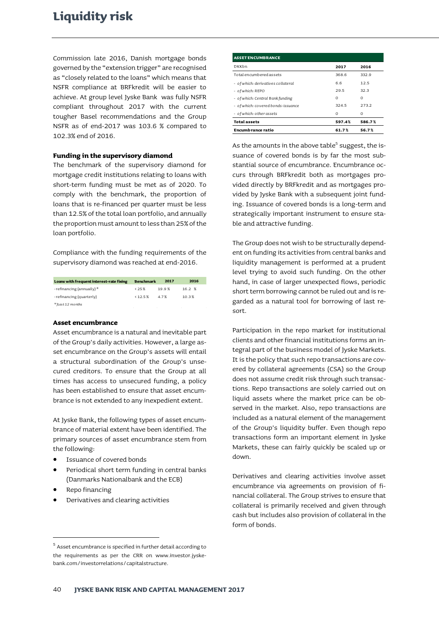Commission late 2016, Danish mortgage bonds governed by the "extension trigger" are recognised as "closely related to the loans" which means that NSFR compliance at BRFkredit will be easier to achieve. At group level Jyske Bank was fully NSFR compliant throughout 2017 with the current tougher Basel recommendations and the Group NSFR as of end-2017 was 103.6 % compared to 102.3% end of 2016.

#### **Funding in the supervisory diamond**

The benchmark of the supervisory diamond for mortgage credit institutions relating to loans with short-term funding must be met as of 2020. To comply with the benchmark, the proportion of loans that is re-financed per quarter must be less than 12.5% of the total loan portfolio, and annually the proportion must amount to less than 25% of the loan portfolio.

Compliance with the funding requirements of the supervisory diamond was reached at end-2016.

| Loans with frequent interest-rate fixing | <b>Benchmark</b> | 2017 | 2016   |  |
|------------------------------------------|------------------|------|--------|--|
| -refinancing (annually) $*$              | $< 25 \%$        | 199% | 16.2 % |  |
| -refinancing (quarterly)                 | $< 12.5 \%$      | 4.7% | 10.3%  |  |
| $*$ )Last 12 months                      |                  |      |        |  |

#### **Asset encumbrance**

Asset encumbrance is a natural and inevitable part of the Group's daily activities. However, a large asset encumbrance on the Group's assets will entail a structural subordination of the Group's unsecured creditors. To ensure that the Group at all times has access to unsecured funding, a policy has been established to ensure that asset encumbrance is not extended to any inexpedient extent.

At Jyske Bank, the following types of asset encumbrance of material extent have been identified. The primary sources of asset encumbrance stem from the following:

- Issuance of covered bonds
- Periodical short term funding in central banks (Danmarks Nationalbank and the ECB)
- Repo financing

 $\overline{a}$ 

Derivatives and clearing activities

| <b>ASSETENCUMBRANCE</b>            |        |          |
|------------------------------------|--------|----------|
| <b>DKKhn</b>                       | 2017   | 2016     |
| Total encumbered assets            | 368.6  | 332.9    |
| - of which: derivatives collateral | 6.6    | 12.5     |
| - of which: REPO                   | 29.5   | 32.3     |
| - of which: Central Bankfunding    | O      | $\Omega$ |
| - of which: covered bonds-issuance | 324.5  | 273.2    |
| - of which: other assets           | O      | $\Omega$ |
| <b>Total assets</b>                | 597.4% | 586.7%   |
| <b>Encumbrance ratio</b>           | 61.7%  | 56.7%    |

As the amounts in the above table<sup>5</sup> suggest, the issuance of covered bonds is by far the most substantial source of encumbrance. Encumbrance occurs through BRFkredit both as mortgages provided directly by BRFkredit and as mortgages provided by Jyske Bank with a subsequent joint funding. Issuance of covered bonds is a long-term and strategically important instrument to ensure stable and attractive funding.

The Group does not wish to be structurally dependent on funding its activities from central banks and liquidity management is performed at a prudent level trying to avoid such funding. On the other hand, in case of larger unexpected flows, periodic short term borrowing cannot be ruled out and is regarded as a natural tool for borrowing of last resort.

Participation in the repo market for institutional clients and other financial institutions forms an integral part of the business model of Jyske Markets. It is the policy that such repo transactions are covered by collateral agreements (CSA) so the Group does not assume credit risk through such transactions. Repo transactions are solely carried out on liquid assets where the market price can be observed in the market. Also, repo transactions are included as a natural element of the management of the Group's liquidity buffer. Even though repo transactions form an important element in Jyske Markets, these can fairly quickly be scaled up or down.

Derivatives and clearing activities involve asset encumbrance via agreements on provision of financial collateral. The Group strives to ensure that collateral is primarily received and given through cash but includes also provision of collateral in the form of bonds.

 $^{\rm 5}$  Asset encumbrance is specified in further detail according to the requirements as per the CRR on www.investor.jyskebank.com/investorrelations/capitalstructure.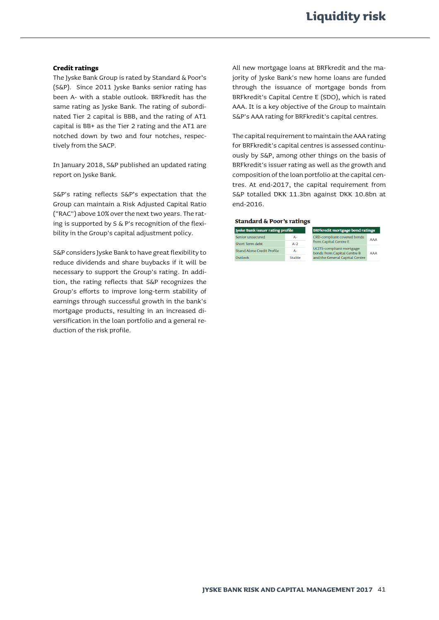#### **Credit ratings**

The Jyske Bank Group is rated by Standard & Poor's (S&P). Since 2011 Jyske Banks senior rating has been A- with a stable outlook. BRFkredit has the same rating as Jyske Bank. The rating of subordinated Tier 2 capital is BBB, and the rating of AT1 capital is BB+ as the Tier 2 rating and the AT1 are notched down by two and four notches, respectively from the SACP.

In January 2018, S&P published an updated rating report on Jyske Bank.

S&P's rating reflects S&P's expectation that the Group can maintain a Risk Adjusted Capital Ratio ("RAC") above 10% over the next two years. The rating is supported by S & P's recognition of the flexibility in the Group's capital adjustment policy.

S&P considers Jyske Bank to have great flexibility to reduce dividends and share buybacks if it will be necessary to support the Group's rating. In addition, the rating reflects that S&P recognizes the Group's efforts to improve long-term stability of earnings through successful growth in the bank's mortgage products, resulting in an increased diversification in the loan portfolio and a general reduction of the risk profile.

All new mortgage loans at BRFkredit and the majority of Jyske Bank's new home loans are funded through the issuance of mortgage bonds from BRFkredit's Capital Centre E (SDO), which is rated AAA. It is a key objective of the Group to maintain S&P's AAA rating for BRFkredit's capital centres.

The capital requirement to maintain the AAA rating for BRFkredit's capital centres is assessed continuously by S&P, among other things on the basis of BRFkredit's issuer rating as well as the growth and composition of the loan portfolio at the capital centres. At end-2017, the capital requirement from S&P totalled DKK 11.3bn against DKK 10.8bn at end-2016.

#### **Standard & Poor's ratings**

| <b>Jyske Bank issuer rating profile</b> |         | <b>BRFkredit mortgage bond ratings</b>                  |            |
|-----------------------------------------|---------|---------------------------------------------------------|------------|
| Senior unsecured                        | А-      | CRD-compliant covered bonds                             | <b>AAA</b> |
| Short Term debt                         | $A - 2$ | from Capital Centre E                                   |            |
| Stand Alone Credit Profile              | А-      | UCITS-compliant mortgage<br>bonds from Capital Centre B | AAA        |
| Outlook                                 | Stable  | and the General Capital Centre                          |            |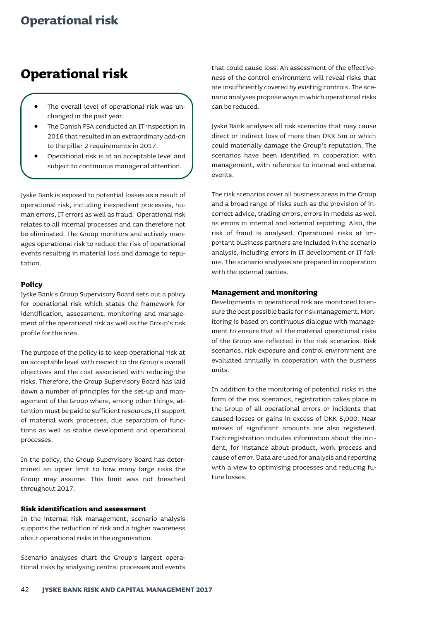## <span id="page-43-0"></span>**Operational risk**

- The overall level of operational risk was unchanged in the past year.
- The Danish FSA conducted an IT inspection in 2016 that resulted in an extraordinary add-on to the pillar 2 requirements in 2017.
- Operational risk is at an acceptable level and subject to continuous managerial attention.

Jyske Bank is exposed to potential losses as a result of operational risk, including inexpedient processes, human errors, IT errors as well as fraud. Operational risk relates to all internal processes and can therefore not be eliminated. The Group monitors and actively manages operational risk to reduce the risk of operational events resulting in material loss and damage to reputation.

#### **Policy**

Jyske Bank's Group Supervisory Board sets out a policy for operational risk which states the framework for identification, assessment, monitoring and management of the operational risk as well as the Group's risk profile for the area.

The purpose of the policy is to keep operational risk at an acceptable level with respect to the Group's overall objectives and the cost associated with reducing the risks. Therefore, the Group Supervisory Board has laid down a number of principles for the set-up and management of the Group where, among other things, attention must be paid to sufficient resources, IT support of material work processes, due separation of functions as well as stable development and operational processes.

In the policy, the Group Supervisory Board has determined an upper limit to how many large risks the Group may assume. This limit was not breached throughout 2017.

#### **Risk identification and assessment**

In the internal risk management, scenario analysis supports the reduction of risk and a higher awareness about operational risks in the organisation.

Scenario analyses chart the Group's largest operational risks by analysing central processes and events that could cause loss. An assessment of the effectiveness of the control environment will reveal risks that are insufficiently covered by existing controls. The scenario analyses propose ways in which operational risks can be reduced.

Jyske Bank analyses all risk scenarios that may cause direct or indirect loss of more than DKK 5m or which could materially damage the Group's reputation. The scenarios have been identified in cooperation with management, with reference to internal and external events.

The risk scenarios cover all business areas in the Group and a broad range of risks such as the provision of incorrect advice, trading errors, errors in models as well as errors in internal and external reporting. Also, the risk of fraud is analysed. Operational risks at important business partners are included in the scenario analysis, including errors in IT development or IT failure. The scenario analyses are prepared in cooperation with the external parties.

#### **Management and monitoring**

Developments in operational risk are monitored to ensure the best possible basis for risk management. Monitoring is based on continuous dialogue with management to ensure that all the material operational risks of the Group are reflected in the risk scenarios. Risk scenarios, risk exposure and control environment are evaluated annually in cooperation with the business units.

In addition to the monitoring of potential risks in the form of the risk scenarios, registration takes place in the Group of all operational errors or incidents that caused losses or gains in excess of DKK 5,000. Near misses of significant amounts are also registered. Each registration includes information about the incident, for instance about product, work process and cause of error. Data are used for analysis and reporting with a view to optimising processes and reducing future losses.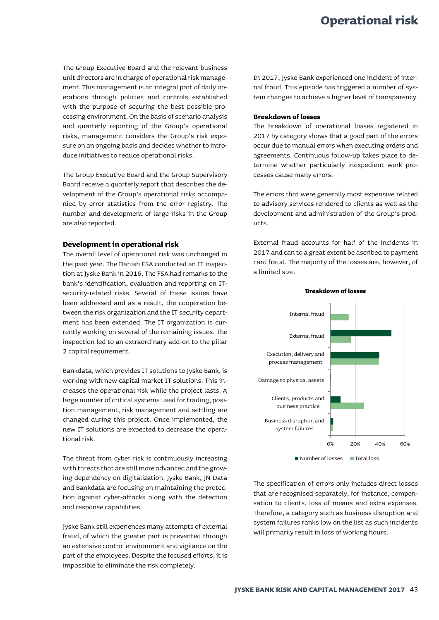The Group Executive Board and the relevant business unit directors are in charge of operational risk management. This management is an integral part of daily operations through policies and controls established with the purpose of securing the best possible processing environment. On the basis of scenario analysis and quarterly reporting of the Group's operational risks, management considers the Group's risk exposure on an ongoing basis and decides whether to introduce initiatives to reduce operational risks.

The Group Executive Board and the Group Supervisory Board receive a quarterly report that describes the development of the Group's operational risks accompanied by error statistics from the error registry. The number and development of large risks in the Group are also reported.

#### **Development in operational risk**

The overall level of operational risk was unchanged in the past year. The Danish FSA conducted an IT inspection at Jyske Bank in 2016. The FSA had remarks to the bank's identification, evaluation and reporting on ITsecurity-related risks. Several of these issues have been addressed and as a result, the cooperation between the risk organization and the IT security department has been extended. The IT organization is currently working on several of the remaining issues. The inspection led to an extraordinary add-on to the pillar 2 capital requirement.

Bankdata, which provides IT solutions to Jyske Bank, is working with new capital market IT solutions. This increases the operational risk while the project lasts. A large number of critical systems used for trading, position management, risk management and settling are changed during this project. Once implemented, the new IT solutions are expected to decrease the operational risk.

The threat from cyber risk is continuously increasing with threats that are still more advanced and the growing dependency on digitalization. Jyske Bank, JN Data and Bankdata are focusing on maintaining the protection against cyber-attacks along with the detection and response capabilities.

Jyske Bank still experiences many attempts of external fraud, of which the greater part is prevented through an extensive control environment and vigilance on the part of the employees. Despite the focused efforts, it is impossible to eliminate the risk completely.

In 2017, Jyske Bank experienced one incident of internal fraud. This episode has triggered a number of system changes to achieve a higher level of transparency.

#### **Breakdown of losses**

The breakdown of operational losses registered in 2017 by category shows that a good part of the errors occur due to manual errors when executing orders and agreements. Continuous follow-up takes place to determine whether particularly inexpedient work processes cause many errors.

The errors that were generally most expensive related to advisory services rendered to clients as well as the development and administration of the Group's products.

External fraud accounts for half of the incidents in 2017 and can to a great extent be ascribed to payment card fraud. The majority of the losses are, however, of a limited size.



**Breakdown of losses**

The specification of errors only includes direct losses that are recognised separately, for instance, compensation to clients, loss of means and extra expenses. Therefore, a category such as business disruption and system failures ranks low on the list as such incidents will primarily result in loss of working hours.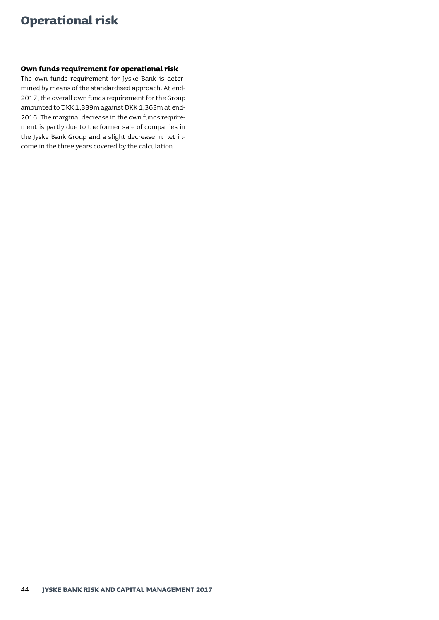#### **Own funds requirement for operational risk**

The own funds requirement for Jyske Bank is determined by means of the standardised approach. At end-2017, the overall own funds requirement for the Group amounted to DKK 1,339m against DKK 1,363m at end-2016. The marginal decrease in the own funds requirement is partly due to the former sale of companies in the Jyske Bank Group and a slight decrease in net income in the three years covered by the calculation.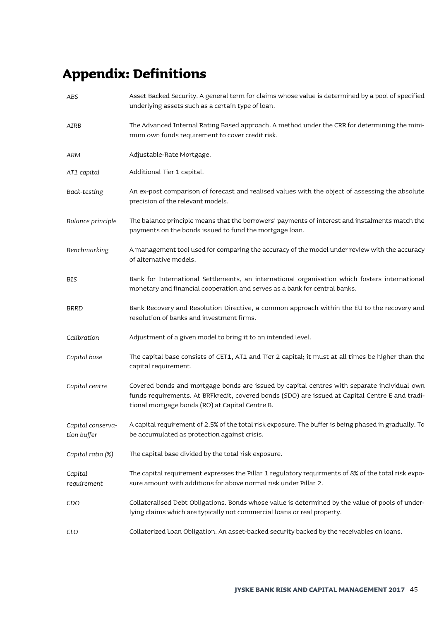# <span id="page-46-0"></span>**Appendix: Definitions**

| ABS                              | Asset Backed Security. A general term for claims whose value is determined by a pool of specified<br>underlying assets such as a certain type of loan.                                                                                            |
|----------------------------------|---------------------------------------------------------------------------------------------------------------------------------------------------------------------------------------------------------------------------------------------------|
| AIRB                             | The Advanced Internal Rating Based approach. A method under the CRR for determining the mini-<br>mum own funds requirement to cover credit risk.                                                                                                  |
| ARM                              | Adjustable-Rate Mortgage.                                                                                                                                                                                                                         |
| AT1 capital                      | Additional Tier 1 capital.                                                                                                                                                                                                                        |
| Back-testing                     | An ex-post comparison of forecast and realised values with the object of assessing the absolute<br>precision of the relevant models.                                                                                                              |
| Balance principle                | The balance principle means that the borrowers' payments of interest and instalments match the<br>payments on the bonds issued to fund the mortgage loan.                                                                                         |
| Benchmarking                     | A management tool used for comparing the accuracy of the model under review with the accuracy<br>of alternative models.                                                                                                                           |
| BIS                              | Bank for International Settlements, an international organisation which fosters international<br>monetary and financial cooperation and serves as a bank for central banks.                                                                       |
| <b>BRRD</b>                      | Bank Recovery and Resolution Directive, a common approach within the EU to the recovery and<br>resolution of banks and investment firms.                                                                                                          |
| Calibration                      | Adjustment of a given model to bring it to an intended level.                                                                                                                                                                                     |
| Capital base                     | The capital base consists of CET1, AT1 and Tier 2 capital; it must at all times be higher than the<br>capital requirement.                                                                                                                        |
| Capital centre                   | Covered bonds and mortgage bonds are issued by capital centres with separate individual own<br>funds requirements. At BRFkredit, covered bonds (SDO) are issued at Capital Centre E and tradi-<br>tional mortgage bonds (RO) at Capital Centre B. |
| Capital conserva-<br>tion buffer | A capital requirement of 2.5% of the total risk exposure. The buffer is being phased in gradually. To<br>be accumulated as protection against crisis.                                                                                             |
| Capital ratio (%)                | The capital base divided by the total risk exposure.                                                                                                                                                                                              |
| Capital<br>requirement           | The capital requirement expresses the Pillar 1 regulatory requirments of 8% of the total risk expo-<br>sure amount with additions for above normal risk under Pillar 2.                                                                           |
| CDO                              | Collateralised Debt Obligations. Bonds whose value is determined by the value of pools of under-<br>lying claims which are typically not commercial loans or real property.                                                                       |
| <b>CLO</b>                       | Collaterized Loan Obligation. An asset-backed security backed by the receivables on loans.                                                                                                                                                        |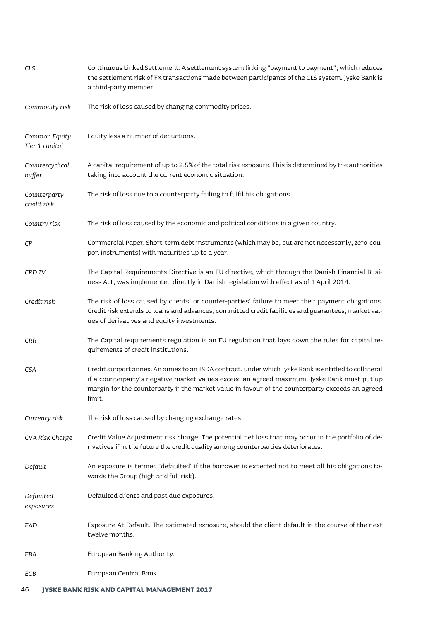| CLS                             | Continuous Linked Settlement. A settlement system linking "payment to payment", which reduces<br>the settlement risk of FX transactions made between participants of the CLS system. Jyske Bank is<br>a third-party member.                                                                                      |
|---------------------------------|------------------------------------------------------------------------------------------------------------------------------------------------------------------------------------------------------------------------------------------------------------------------------------------------------------------|
| Commodity risk                  | The risk of loss caused by changing commodity prices.                                                                                                                                                                                                                                                            |
| Common Equity<br>Tier 1 capital | Equity less a number of deductions.                                                                                                                                                                                                                                                                              |
| Countercyclical<br>buffer       | A capital requirement of up to 2.5% of the total risk exposure. This is determined by the authorities<br>taking into account the current economic situation.                                                                                                                                                     |
| Counterparty<br>credit risk     | The risk of loss due to a counterparty failing to fulfil his obligations.                                                                                                                                                                                                                                        |
| Country risk                    | The risk of loss caused by the economic and political conditions in a given country.                                                                                                                                                                                                                             |
| CP                              | Commercial Paper. Short-term debt instruments (which may be, but are not necessarily, zero-cou-<br>pon instruments) with maturities up to a year.                                                                                                                                                                |
| CRD IV                          | The Capital Requirements Directive is an EU directive, which through the Danish Financial Busi-<br>ness Act, was implemented directly in Danish legislation with effect as of 1 April 2014.                                                                                                                      |
| Credit risk                     | The risk of loss caused by clients' or counter-parties' failure to meet their payment obligations.<br>Credit risk extends to loans and advances, committed credit facilities and guarantees, market val-<br>ues of derivatives and equity investments.                                                           |
| CRR                             | The Capital requirements regulation is an EU regulation that lays down the rules for capital re-<br>quirements of credit institutions.                                                                                                                                                                           |
| <b>CSA</b>                      | Credit support annex. An annex to an ISDA contract, under which Jyske Bank is entitled to collateral<br>if a counterparty's negative market values exceed an agreed maximum. Jyske Bank must put up<br>margin for the counterparty if the market value in favour of the counterparty exceeds an agreed<br>limit. |
| Currency risk                   | The risk of loss caused by changing exchange rates.                                                                                                                                                                                                                                                              |
| CVA Risk Charge                 | Credit Value Adjustment risk charge. The potential net loss that may occur in the portfolio of de-<br>rivatives if in the future the credit quality among counterparties deteriorates.                                                                                                                           |
| Default                         | An exposure is termed 'defaulted' if the borrower is expected not to meet all his obligations to-<br>wards the Group (high and full risk).                                                                                                                                                                       |
| Defaulted<br>exposures          | Defaulted clients and past due exposures.                                                                                                                                                                                                                                                                        |
| EAD                             | Exposure At Default. The estimated exposure, should the client default in the course of the next<br>twelve months.                                                                                                                                                                                               |
| EBA                             | European Banking Authority.                                                                                                                                                                                                                                                                                      |
| ECB                             | European Central Bank.                                                                                                                                                                                                                                                                                           |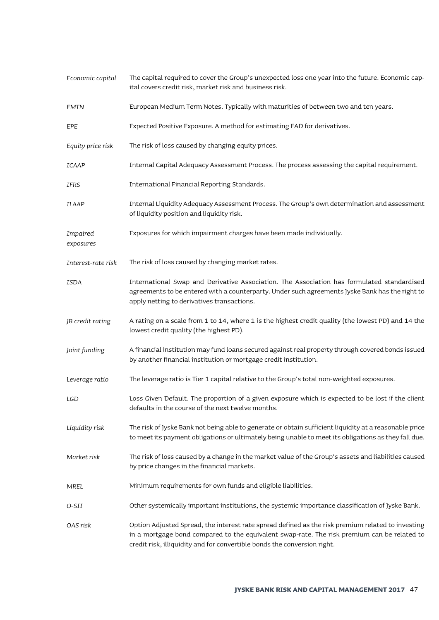| Economic capital      | The capital required to cover the Group's unexpected loss one year into the future. Economic cap-<br>ital covers credit risk, market risk and business risk.                                                                                                                 |
|-----------------------|------------------------------------------------------------------------------------------------------------------------------------------------------------------------------------------------------------------------------------------------------------------------------|
| <b>EMTN</b>           | European Medium Term Notes. Typically with maturities of between two and ten years.                                                                                                                                                                                          |
| EPE                   | Expected Positive Exposure. A method for estimating EAD for derivatives.                                                                                                                                                                                                     |
| Equity price risk     | The risk of loss caused by changing equity prices.                                                                                                                                                                                                                           |
| <b>ICAAP</b>          | Internal Capital Adequacy Assessment Process. The process assessing the capital requirement.                                                                                                                                                                                 |
| IFRS                  | International Financial Reporting Standards.                                                                                                                                                                                                                                 |
| <b>ILAAP</b>          | Internal Liquidity Adequacy Assessment Process. The Group's own determination and assessment<br>of liquidity position and liquidity risk.                                                                                                                                    |
| Impaired<br>exposures | Exposures for which impairment charges have been made individually.                                                                                                                                                                                                          |
| Interest-rate risk    | The risk of loss caused by changing market rates.                                                                                                                                                                                                                            |
| ISDA                  | International Swap and Derivative Association. The Association has formulated standardised<br>agreements to be entered with a counterparty. Under such agreements Jyske Bank has the right to<br>apply netting to derivatives transactions.                                  |
| JB credit rating      | A rating on a scale from 1 to 14, where 1 is the highest credit quality (the lowest PD) and 14 the<br>lowest credit quality (the highest PD).                                                                                                                                |
| Joint funding         | A financial institution may fund loans secured against real property through covered bonds issued<br>by another financial institution or mortgage credit institution.                                                                                                        |
| Leverage ratio        | The leverage ratio is Tier 1 capital relative to the Group's total non-weighted exposures.                                                                                                                                                                                   |
| LGD                   | Loss Given Default. The proportion of a given exposure which is expected to be lost if the client<br>defaults in the course of the next twelve months.                                                                                                                       |
| Liquidity risk        | The risk of Jyske Bank not being able to generate or obtain sufficient liquidity at a reasonable price<br>to meet its payment obligations or ultimately being unable to meet its obligations as they fall due.                                                               |
| Market risk           | The risk of loss caused by a change in the market value of the Group's assets and liabilities caused<br>by price changes in the financial markets.                                                                                                                           |
| MREL                  | Minimum requirements for own funds and eligible liabilities.                                                                                                                                                                                                                 |
| O-SII                 | Other systemically important institutions, the systemic importance classification of Jyske Bank.                                                                                                                                                                             |
| OAS risk              | Option Adjusted Spread, the interest rate spread defined as the risk premium related to investing<br>in a mortgage bond compared to the equivalent swap-rate. The risk premium can be related to<br>credit risk, illiquidity and for convertible bonds the conversion right. |